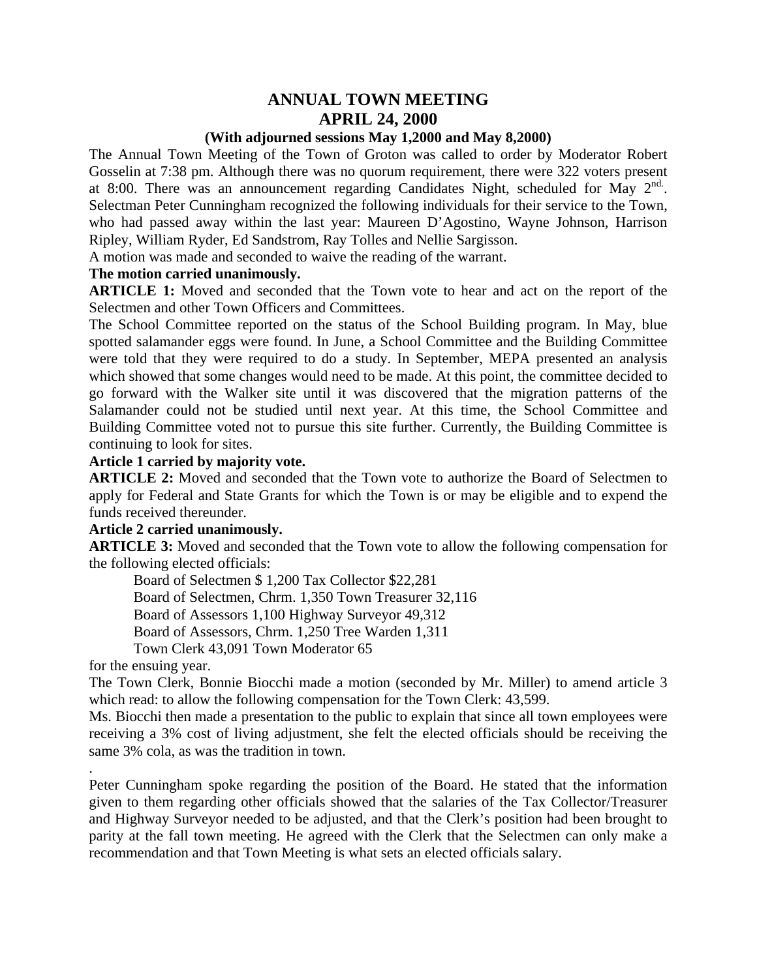# **ANNUAL TOWN MEETING APRIL 24, 2000**

#### **(With adjourned sessions May 1,2000 and May 8,2000)**

The Annual Town Meeting of the Town of Groton was called to order by Moderator Robert Gosselin at 7:38 pm. Although there was no quorum requirement, there were 322 voters present at 8:00. There was an announcement regarding Candidates Night, scheduled for May  $2^{nd}$ . Selectman Peter Cunningham recognized the following individuals for their service to the Town, who had passed away within the last year: Maureen D'Agostino, Wayne Johnson, Harrison Ripley, William Ryder, Ed Sandstrom, Ray Tolles and Nellie Sargisson.

A motion was made and seconded to waive the reading of the warrant.

#### **The motion carried unanimously.**

**ARTICLE 1:** Moved and seconded that the Town vote to hear and act on the report of the Selectmen and other Town Officers and Committees.

The School Committee reported on the status of the School Building program. In May, blue spotted salamander eggs were found. In June, a School Committee and the Building Committee were told that they were required to do a study. In September, MEPA presented an analysis which showed that some changes would need to be made. At this point, the committee decided to go forward with the Walker site until it was discovered that the migration patterns of the Salamander could not be studied until next year. At this time, the School Committee and Building Committee voted not to pursue this site further. Currently, the Building Committee is continuing to look for sites.

#### **Article 1 carried by majority vote.**

**ARTICLE 2:** Moved and seconded that the Town vote to authorize the Board of Selectmen to apply for Federal and State Grants for which the Town is or may be eligible and to expend the funds received thereunder.

#### **Article 2 carried unanimously.**

**ARTICLE 3:** Moved and seconded that the Town vote to allow the following compensation for the following elected officials:

Board of Selectmen \$ 1,200 Tax Collector \$22,281 Board of Selectmen, Chrm. 1,350 Town Treasurer 32,116 Board of Assessors 1,100 Highway Surveyor 49,312 Board of Assessors, Chrm. 1,250 Tree Warden 1,311 Town Clerk 43,091 Town Moderator 65

for the ensuing year.

.

The Town Clerk, Bonnie Biocchi made a motion (seconded by Mr. Miller) to amend article 3 which read: to allow the following compensation for the Town Clerk: 43,599.

Ms. Biocchi then made a presentation to the public to explain that since all town employees were receiving a 3% cost of living adjustment, she felt the elected officials should be receiving the same 3% cola, as was the tradition in town.

Peter Cunningham spoke regarding the position of the Board. He stated that the information given to them regarding other officials showed that the salaries of the Tax Collector/Treasurer and Highway Surveyor needed to be adjusted, and that the Clerk's position had been brought to parity at the fall town meeting. He agreed with the Clerk that the Selectmen can only make a recommendation and that Town Meeting is what sets an elected officials salary.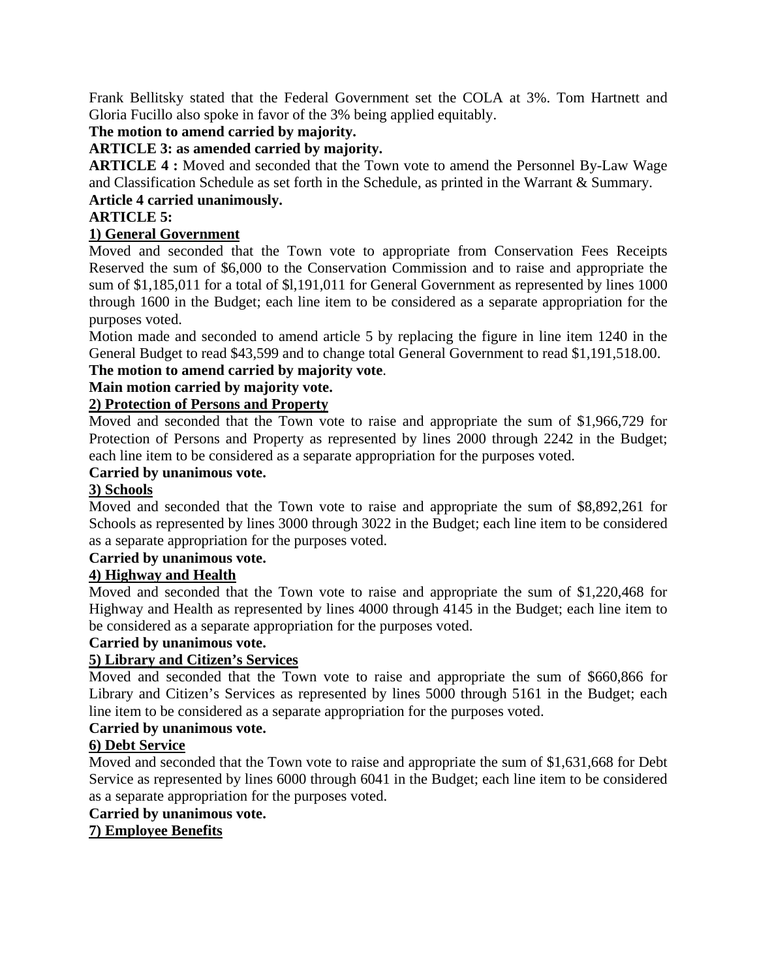Frank Bellitsky stated that the Federal Government set the COLA at 3%. Tom Hartnett and Gloria Fucillo also spoke in favor of the 3% being applied equitably.

## **The motion to amend carried by majority.**

## **ARTICLE 3: as amended carried by majority.**

**ARTICLE 4 :** Moved and seconded that the Town vote to amend the Personnel By-Law Wage and Classification Schedule as set forth in the Schedule, as printed in the Warrant & Summary.

## **Article 4 carried unanimously.**

## **ARTICLE 5:**

## **1) General Government**

Moved and seconded that the Town vote to appropriate from Conservation Fees Receipts Reserved the sum of \$6,000 to the Conservation Commission and to raise and appropriate the sum of \$1,185,011 for a total of \$l,191,011 for General Government as represented by lines 1000 through 1600 in the Budget; each line item to be considered as a separate appropriation for the purposes voted.

Motion made and seconded to amend article 5 by replacing the figure in line item 1240 in the General Budget to read \$43,599 and to change total General Government to read \$1,191,518.00.

## **The motion to amend carried by majority vote**.

## **Main motion carried by majority vote.**

## **2) Protection of Persons and Property**

Moved and seconded that the Town vote to raise and appropriate the sum of \$1,966,729 for Protection of Persons and Property as represented by lines 2000 through 2242 in the Budget; each line item to be considered as a separate appropriation for the purposes voted.

#### **Carried by unanimous vote.**

## **3) Schools**

Moved and seconded that the Town vote to raise and appropriate the sum of \$8,892,261 for Schools as represented by lines 3000 through 3022 in the Budget; each line item to be considered as a separate appropriation for the purposes voted.

#### **Carried by unanimous vote.**

## **4) Highway and Health**

Moved and seconded that the Town vote to raise and appropriate the sum of \$1,220,468 for Highway and Health as represented by lines 4000 through 4145 in the Budget; each line item to be considered as a separate appropriation for the purposes voted.

## **Carried by unanimous vote.**

## **5) Library and Citizen's Services**

Moved and seconded that the Town vote to raise and appropriate the sum of \$660,866 for Library and Citizen's Services as represented by lines 5000 through 5161 in the Budget; each line item to be considered as a separate appropriation for the purposes voted.

## **Carried by unanimous vote.**

## **6) Debt Service**

Moved and seconded that the Town vote to raise and appropriate the sum of \$1,631,668 for Debt Service as represented by lines 6000 through 6041 in the Budget; each line item to be considered as a separate appropriation for the purposes voted.

#### **Carried by unanimous vote.**

## **7) Employee Benefits**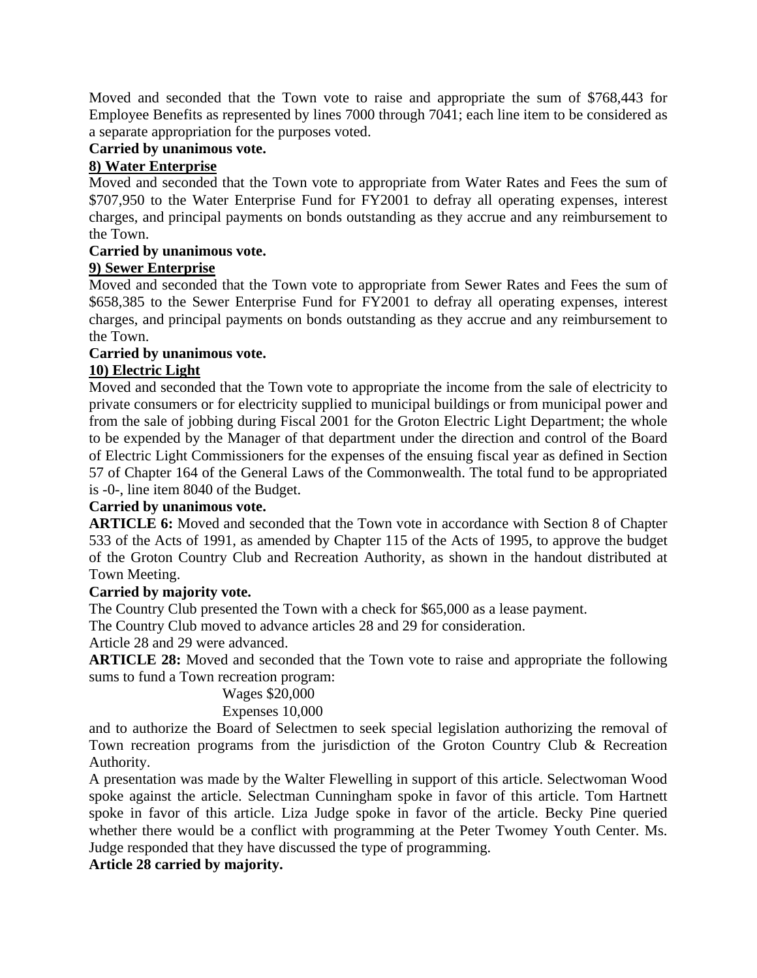Moved and seconded that the Town vote to raise and appropriate the sum of \$768,443 for Employee Benefits as represented by lines 7000 through 7041; each line item to be considered as a separate appropriation for the purposes voted.

#### **Carried by unanimous vote.**

#### **8) Water Enterprise**

Moved and seconded that the Town vote to appropriate from Water Rates and Fees the sum of \$707,950 to the Water Enterprise Fund for FY2001 to defray all operating expenses, interest charges, and principal payments on bonds outstanding as they accrue and any reimbursement to the Town.

#### **Carried by unanimous vote.**

#### **9) Sewer Enterprise**

Moved and seconded that the Town vote to appropriate from Sewer Rates and Fees the sum of \$658,385 to the Sewer Enterprise Fund for FY2001 to defray all operating expenses, interest charges, and principal payments on bonds outstanding as they accrue and any reimbursement to the Town.

# **Carried by unanimous vote.**

## **10) Electric Light**

Moved and seconded that the Town vote to appropriate the income from the sale of electricity to private consumers or for electricity supplied to municipal buildings or from municipal power and from the sale of jobbing during Fiscal 2001 for the Groton Electric Light Department; the whole to be expended by the Manager of that department under the direction and control of the Board of Electric Light Commissioners for the expenses of the ensuing fiscal year as defined in Section 57 of Chapter 164 of the General Laws of the Commonwealth. The total fund to be appropriated is -0-, line item 8040 of the Budget.

#### **Carried by unanimous vote.**

**ARTICLE 6:** Moved and seconded that the Town vote in accordance with Section 8 of Chapter 533 of the Acts of 1991, as amended by Chapter 115 of the Acts of 1995, to approve the budget of the Groton Country Club and Recreation Authority, as shown in the handout distributed at Town Meeting.

#### **Carried by majority vote.**

The Country Club presented the Town with a check for \$65,000 as a lease payment.

The Country Club moved to advance articles 28 and 29 for consideration.

Article 28 and 29 were advanced.

**ARTICLE 28:** Moved and seconded that the Town vote to raise and appropriate the following sums to fund a Town recreation program:

## Wages \$20,000

#### Expenses 10,000

and to authorize the Board of Selectmen to seek special legislation authorizing the removal of Town recreation programs from the jurisdiction of the Groton Country Club & Recreation Authority.

A presentation was made by the Walter Flewelling in support of this article. Selectwoman Wood spoke against the article. Selectman Cunningham spoke in favor of this article. Tom Hartnett spoke in favor of this article. Liza Judge spoke in favor of the article. Becky Pine queried whether there would be a conflict with programming at the Peter Twomey Youth Center. Ms. Judge responded that they have discussed the type of programming.

**Article 28 carried by majority.**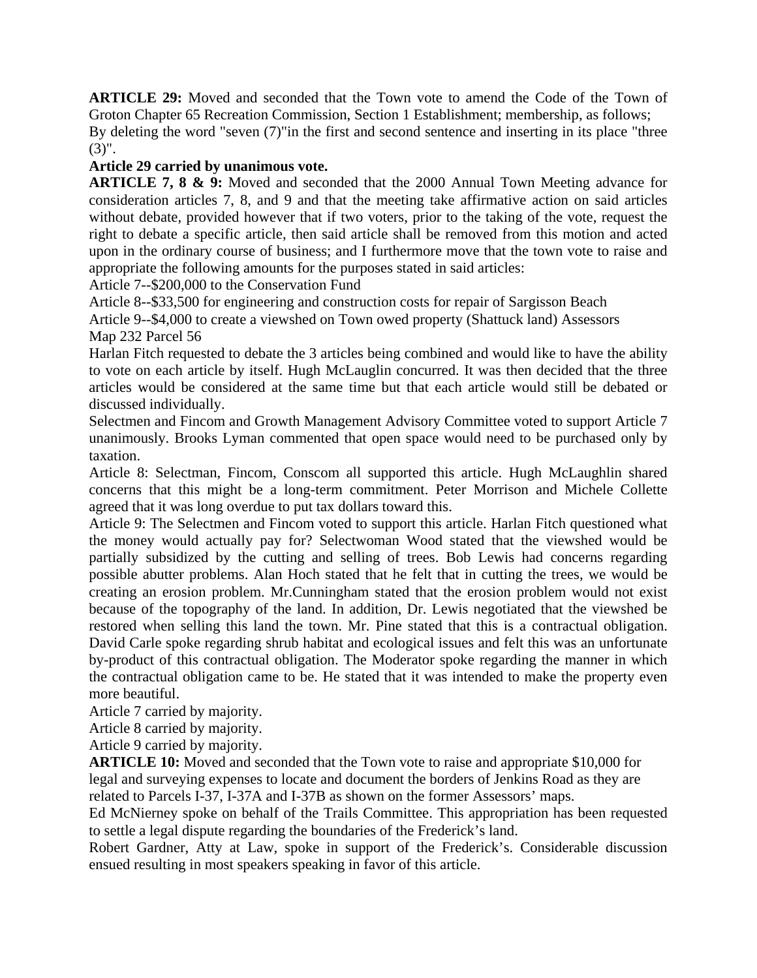**ARTICLE 29:** Moved and seconded that the Town vote to amend the Code of the Town of Groton Chapter 65 Recreation Commission, Section 1 Establishment; membership, as follows; By deleting the word "seven (7)"in the first and second sentence and inserting in its place "three (3)".

#### **Article 29 carried by unanimous vote.**

**ARTICLE 7, 8 & 9:** Moved and seconded that the 2000 Annual Town Meeting advance for consideration articles 7, 8, and 9 and that the meeting take affirmative action on said articles without debate, provided however that if two voters, prior to the taking of the vote, request the right to debate a specific article, then said article shall be removed from this motion and acted upon in the ordinary course of business; and I furthermore move that the town vote to raise and appropriate the following amounts for the purposes stated in said articles:

Article 7--\$200,000 to the Conservation Fund

Article 8--\$33,500 for engineering and construction costs for repair of Sargisson Beach

Article 9--\$4,000 to create a viewshed on Town owed property (Shattuck land) Assessors

Map 232 Parcel 56

Harlan Fitch requested to debate the 3 articles being combined and would like to have the ability to vote on each article by itself. Hugh McLauglin concurred. It was then decided that the three articles would be considered at the same time but that each article would still be debated or discussed individually.

Selectmen and Fincom and Growth Management Advisory Committee voted to support Article 7 unanimously. Brooks Lyman commented that open space would need to be purchased only by taxation.

Article 8: Selectman, Fincom, Conscom all supported this article. Hugh McLaughlin shared concerns that this might be a long-term commitment. Peter Morrison and Michele Collette agreed that it was long overdue to put tax dollars toward this.

Article 9: The Selectmen and Fincom voted to support this article. Harlan Fitch questioned what the money would actually pay for? Selectwoman Wood stated that the viewshed would be partially subsidized by the cutting and selling of trees. Bob Lewis had concerns regarding possible abutter problems. Alan Hoch stated that he felt that in cutting the trees, we would be creating an erosion problem. Mr.Cunningham stated that the erosion problem would not exist because of the topography of the land. In addition, Dr. Lewis negotiated that the viewshed be restored when selling this land the town. Mr. Pine stated that this is a contractual obligation. David Carle spoke regarding shrub habitat and ecological issues and felt this was an unfortunate by-product of this contractual obligation. The Moderator spoke regarding the manner in which the contractual obligation came to be. He stated that it was intended to make the property even more beautiful.

Article 7 carried by majority.

Article 8 carried by majority.

Article 9 carried by majority.

**ARTICLE 10:** Moved and seconded that the Town vote to raise and appropriate \$10,000 for legal and surveying expenses to locate and document the borders of Jenkins Road as they are related to Parcels I-37, I-37A and I-37B as shown on the former Assessors' maps.

Ed McNierney spoke on behalf of the Trails Committee. This appropriation has been requested to settle a legal dispute regarding the boundaries of the Frederick's land.

Robert Gardner, Atty at Law, spoke in support of the Frederick's. Considerable discussion ensued resulting in most speakers speaking in favor of this article.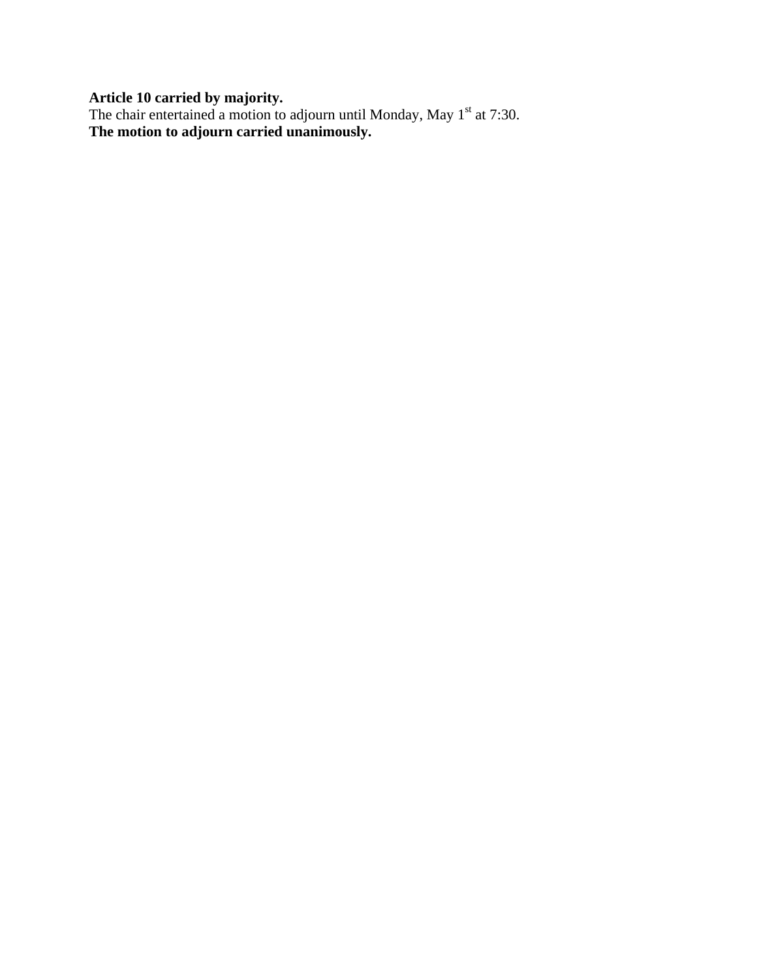**Article 10 carried by majority.**

The chair entertained a motion to adjourn until Monday, May  $1<sup>st</sup>$  at 7:30. **The motion to adjourn carried unanimously.**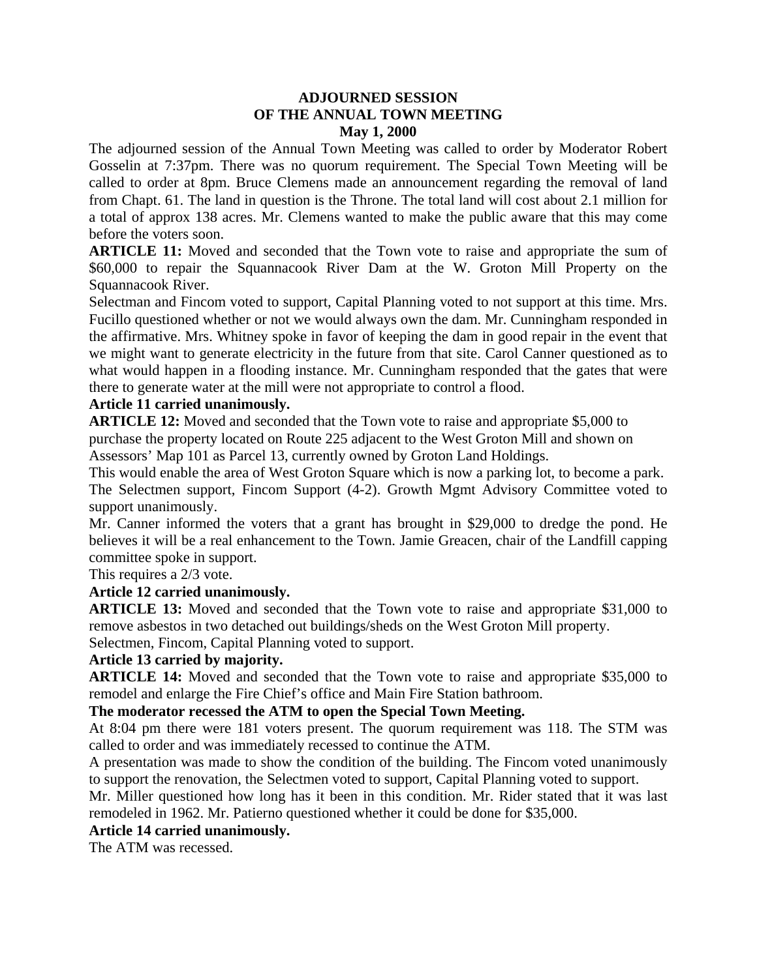#### **ADJOURNED SESSION OF THE ANNUAL TOWN MEETING May 1, 2000**

The adjourned session of the Annual Town Meeting was called to order by Moderator Robert Gosselin at 7:37pm. There was no quorum requirement. The Special Town Meeting will be called to order at 8pm. Bruce Clemens made an announcement regarding the removal of land from Chapt. 61. The land in question is the Throne. The total land will cost about 2.1 million for a total of approx 138 acres. Mr. Clemens wanted to make the public aware that this may come before the voters soon.

**ARTICLE 11:** Moved and seconded that the Town vote to raise and appropriate the sum of \$60,000 to repair the Squannacook River Dam at the W. Groton Mill Property on the Squannacook River.

Selectman and Fincom voted to support, Capital Planning voted to not support at this time. Mrs. Fucillo questioned whether or not we would always own the dam. Mr. Cunningham responded in the affirmative. Mrs. Whitney spoke in favor of keeping the dam in good repair in the event that we might want to generate electricity in the future from that site. Carol Canner questioned as to what would happen in a flooding instance. Mr. Cunningham responded that the gates that were there to generate water at the mill were not appropriate to control a flood.

#### **Article 11 carried unanimously.**

**ARTICLE 12:** Moved and seconded that the Town vote to raise and appropriate \$5,000 to purchase the property located on Route 225 adjacent to the West Groton Mill and shown on Assessors' Map 101 as Parcel 13, currently owned by Groton Land Holdings.

This would enable the area of West Groton Square which is now a parking lot, to become a park. The Selectmen support, Fincom Support (4-2). Growth Mgmt Advisory Committee voted to support unanimously.

Mr. Canner informed the voters that a grant has brought in \$29,000 to dredge the pond. He believes it will be a real enhancement to the Town. Jamie Greacen, chair of the Landfill capping committee spoke in support.

This requires a 2/3 vote.

## **Article 12 carried unanimously.**

**ARTICLE 13:** Moved and seconded that the Town vote to raise and appropriate \$31,000 to remove asbestos in two detached out buildings/sheds on the West Groton Mill property.

Selectmen, Fincom, Capital Planning voted to support.

## **Article 13 carried by majority.**

**ARTICLE 14:** Moved and seconded that the Town vote to raise and appropriate \$35,000 to remodel and enlarge the Fire Chief's office and Main Fire Station bathroom.

#### **The moderator recessed the ATM to open the Special Town Meeting.**

At 8:04 pm there were 181 voters present. The quorum requirement was 118. The STM was called to order and was immediately recessed to continue the ATM.

A presentation was made to show the condition of the building. The Fincom voted unanimously to support the renovation, the Selectmen voted to support, Capital Planning voted to support.

Mr. Miller questioned how long has it been in this condition. Mr. Rider stated that it was last remodeled in 1962. Mr. Patierno questioned whether it could be done for \$35,000.

## **Article 14 carried unanimously.**

The ATM was recessed.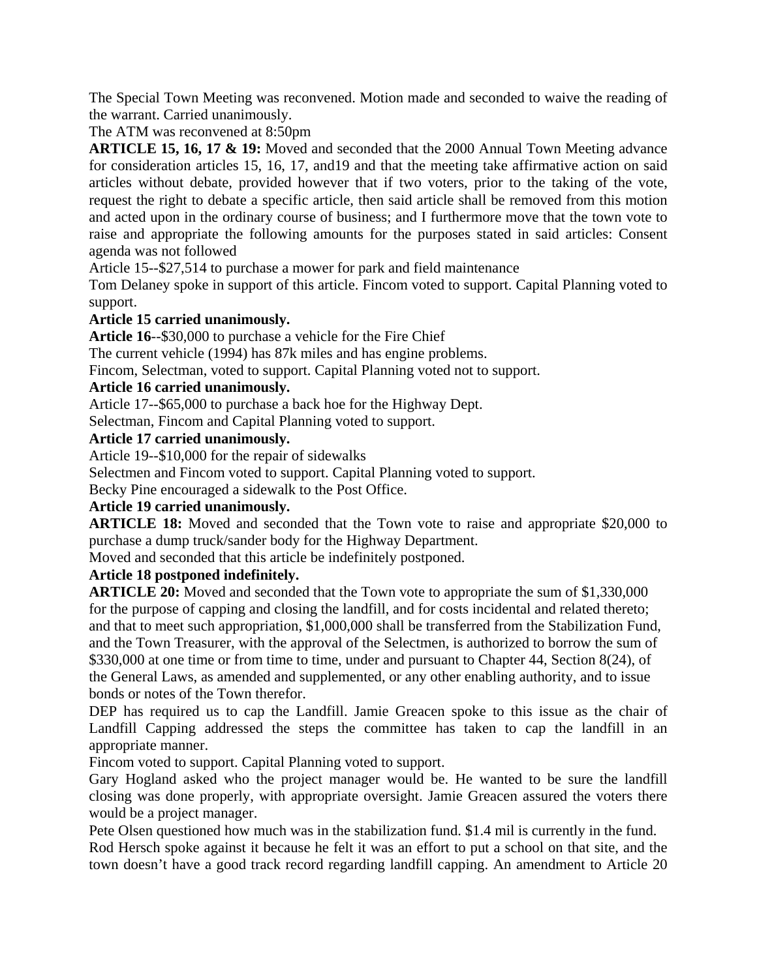The Special Town Meeting was reconvened. Motion made and seconded to waive the reading of the warrant. Carried unanimously.

The ATM was reconvened at 8:50pm

**ARTICLE 15, 16, 17 & 19:** Moved and seconded that the 2000 Annual Town Meeting advance for consideration articles 15, 16, 17, and19 and that the meeting take affirmative action on said articles without debate, provided however that if two voters, prior to the taking of the vote, request the right to debate a specific article, then said article shall be removed from this motion and acted upon in the ordinary course of business; and I furthermore move that the town vote to raise and appropriate the following amounts for the purposes stated in said articles: Consent agenda was not followed

Article 15--\$27,514 to purchase a mower for park and field maintenance

Tom Delaney spoke in support of this article. Fincom voted to support. Capital Planning voted to support.

#### **Article 15 carried unanimously.**

**Article 16**--\$30,000 to purchase a vehicle for the Fire Chief

The current vehicle (1994) has 87k miles and has engine problems.

Fincom, Selectman, voted to support. Capital Planning voted not to support.

#### **Article 16 carried unanimously.**

Article 17--\$65,000 to purchase a back hoe for the Highway Dept.

Selectman, Fincom and Capital Planning voted to support.

#### **Article 17 carried unanimously.**

Article 19--\$10,000 for the repair of sidewalks

Selectmen and Fincom voted to support. Capital Planning voted to support.

Becky Pine encouraged a sidewalk to the Post Office.

## **Article 19 carried unanimously.**

**ARTICLE 18:** Moved and seconded that the Town vote to raise and appropriate \$20,000 to purchase a dump truck/sander body for the Highway Department.

Moved and seconded that this article be indefinitely postponed.

## **Article 18 postponed indefinitely.**

**ARTICLE 20:** Moved and seconded that the Town vote to appropriate the sum of \$1,330,000 for the purpose of capping and closing the landfill, and for costs incidental and related thereto; and that to meet such appropriation, \$1,000,000 shall be transferred from the Stabilization Fund, and the Town Treasurer, with the approval of the Selectmen, is authorized to borrow the sum of \$330,000 at one time or from time to time, under and pursuant to Chapter 44, Section 8(24), of the General Laws, as amended and supplemented, or any other enabling authority, and to issue bonds or notes of the Town therefor.

DEP has required us to cap the Landfill. Jamie Greacen spoke to this issue as the chair of Landfill Capping addressed the steps the committee has taken to cap the landfill in an appropriate manner.

Fincom voted to support. Capital Planning voted to support.

Gary Hogland asked who the project manager would be. He wanted to be sure the landfill closing was done properly, with appropriate oversight. Jamie Greacen assured the voters there would be a project manager.

Pete Olsen questioned how much was in the stabilization fund. \$1.4 mil is currently in the fund. Rod Hersch spoke against it because he felt it was an effort to put a school on that site, and the town doesn't have a good track record regarding landfill capping. An amendment to Article 20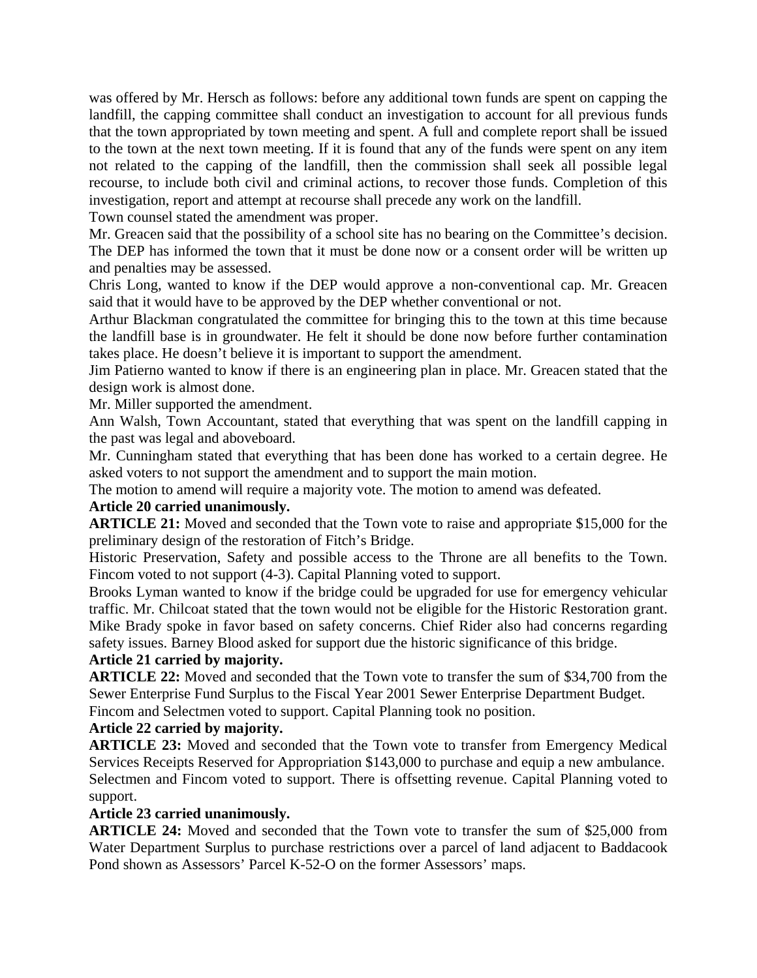was offered by Mr. Hersch as follows: before any additional town funds are spent on capping the landfill, the capping committee shall conduct an investigation to account for all previous funds that the town appropriated by town meeting and spent. A full and complete report shall be issued to the town at the next town meeting. If it is found that any of the funds were spent on any item not related to the capping of the landfill, then the commission shall seek all possible legal recourse, to include both civil and criminal actions, to recover those funds. Completion of this investigation, report and attempt at recourse shall precede any work on the landfill.

Town counsel stated the amendment was proper.

Mr. Greacen said that the possibility of a school site has no bearing on the Committee's decision. The DEP has informed the town that it must be done now or a consent order will be written up and penalties may be assessed.

Chris Long, wanted to know if the DEP would approve a non-conventional cap. Mr. Greacen said that it would have to be approved by the DEP whether conventional or not.

Arthur Blackman congratulated the committee for bringing this to the town at this time because the landfill base is in groundwater. He felt it should be done now before further contamination takes place. He doesn't believe it is important to support the amendment.

Jim Patierno wanted to know if there is an engineering plan in place. Mr. Greacen stated that the design work is almost done.

Mr. Miller supported the amendment.

Ann Walsh, Town Accountant, stated that everything that was spent on the landfill capping in the past was legal and aboveboard.

Mr. Cunningham stated that everything that has been done has worked to a certain degree. He asked voters to not support the amendment and to support the main motion.

The motion to amend will require a majority vote. The motion to amend was defeated.

#### **Article 20 carried unanimously.**

**ARTICLE 21:** Moved and seconded that the Town vote to raise and appropriate \$15,000 for the preliminary design of the restoration of Fitch's Bridge.

Historic Preservation, Safety and possible access to the Throne are all benefits to the Town. Fincom voted to not support (4-3). Capital Planning voted to support.

Brooks Lyman wanted to know if the bridge could be upgraded for use for emergency vehicular traffic. Mr. Chilcoat stated that the town would not be eligible for the Historic Restoration grant. Mike Brady spoke in favor based on safety concerns. Chief Rider also had concerns regarding safety issues. Barney Blood asked for support due the historic significance of this bridge.

#### **Article 21 carried by majority.**

**ARTICLE 22:** Moved and seconded that the Town vote to transfer the sum of \$34,700 from the Sewer Enterprise Fund Surplus to the Fiscal Year 2001 Sewer Enterprise Department Budget.

Fincom and Selectmen voted to support. Capital Planning took no position.

#### **Article 22 carried by majority.**

**ARTICLE 23:** Moved and seconded that the Town vote to transfer from Emergency Medical Services Receipts Reserved for Appropriation \$143,000 to purchase and equip a new ambulance. Selectmen and Fincom voted to support. There is offsetting revenue. Capital Planning voted to support.

#### **Article 23 carried unanimously.**

**ARTICLE 24:** Moved and seconded that the Town vote to transfer the sum of \$25,000 from Water Department Surplus to purchase restrictions over a parcel of land adjacent to Baddacook Pond shown as Assessors' Parcel K-52-O on the former Assessors' maps.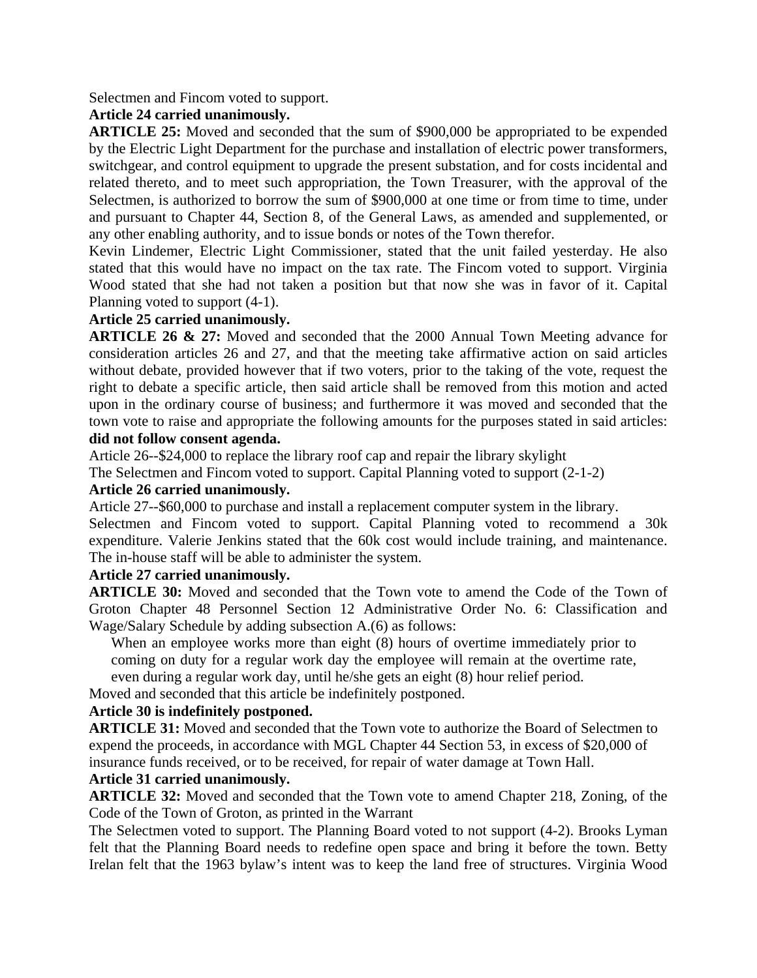Selectmen and Fincom voted to support.

#### **Article 24 carried unanimously.**

**ARTICLE 25:** Moved and seconded that the sum of \$900,000 be appropriated to be expended by the Electric Light Department for the purchase and installation of electric power transformers, switchgear, and control equipment to upgrade the present substation, and for costs incidental and related thereto, and to meet such appropriation, the Town Treasurer, with the approval of the Selectmen, is authorized to borrow the sum of \$900,000 at one time or from time to time, under and pursuant to Chapter 44, Section 8, of the General Laws, as amended and supplemented, or any other enabling authority, and to issue bonds or notes of the Town therefor.

Kevin Lindemer, Electric Light Commissioner, stated that the unit failed yesterday. He also stated that this would have no impact on the tax rate. The Fincom voted to support. Virginia Wood stated that she had not taken a position but that now she was in favor of it. Capital Planning voted to support (4-1).

## **Article 25 carried unanimously.**

**ARTICLE 26 & 27:** Moved and seconded that the 2000 Annual Town Meeting advance for consideration articles 26 and 27, and that the meeting take affirmative action on said articles without debate, provided however that if two voters, prior to the taking of the vote, request the right to debate a specific article, then said article shall be removed from this motion and acted upon in the ordinary course of business; and furthermore it was moved and seconded that the town vote to raise and appropriate the following amounts for the purposes stated in said articles:

#### **did not follow consent agenda.**

Article 26--\$24,000 to replace the library roof cap and repair the library skylight

The Selectmen and Fincom voted to support. Capital Planning voted to support (2-1-2)

#### **Article 26 carried unanimously.**

Article 27--\$60,000 to purchase and install a replacement computer system in the library. Selectmen and Fincom voted to support. Capital Planning voted to recommend a 30k expenditure. Valerie Jenkins stated that the 60k cost would include training, and maintenance. The in-house staff will be able to administer the system.

#### **Article 27 carried unanimously.**

**ARTICLE 30:** Moved and seconded that the Town vote to amend the Code of the Town of Groton Chapter 48 Personnel Section 12 Administrative Order No. 6: Classification and Wage/Salary Schedule by adding subsection A.(6) as follows:

When an employee works more than eight (8) hours of overtime immediately prior to coming on duty for a regular work day the employee will remain at the overtime rate,

even during a regular work day, until he/she gets an eight (8) hour relief period.

Moved and seconded that this article be indefinitely postponed.

#### **Article 30 is indefinitely postponed.**

**ARTICLE 31:** Moved and seconded that the Town vote to authorize the Board of Selectmen to expend the proceeds, in accordance with MGL Chapter 44 Section 53, in excess of \$20,000 of insurance funds received, or to be received, for repair of water damage at Town Hall.

#### **Article 31 carried unanimously.**

**ARTICLE 32:** Moved and seconded that the Town vote to amend Chapter 218, Zoning, of the Code of the Town of Groton, as printed in the Warrant

The Selectmen voted to support. The Planning Board voted to not support (4-2). Brooks Lyman felt that the Planning Board needs to redefine open space and bring it before the town. Betty Irelan felt that the 1963 bylaw's intent was to keep the land free of structures. Virginia Wood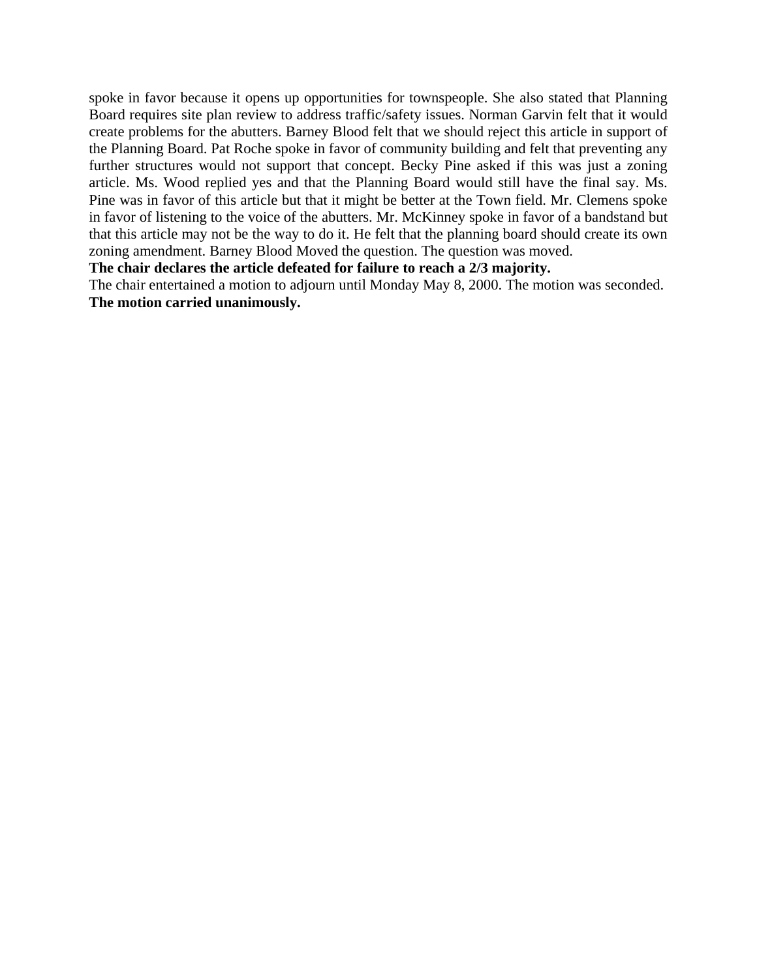spoke in favor because it opens up opportunities for townspeople. She also stated that Planning Board requires site plan review to address traffic/safety issues. Norman Garvin felt that it would create problems for the abutters. Barney Blood felt that we should reject this article in support of the Planning Board. Pat Roche spoke in favor of community building and felt that preventing any further structures would not support that concept. Becky Pine asked if this was just a zoning article. Ms. Wood replied yes and that the Planning Board would still have the final say. Ms. Pine was in favor of this article but that it might be better at the Town field. Mr. Clemens spoke in favor of listening to the voice of the abutters. Mr. McKinney spoke in favor of a bandstand but that this article may not be the way to do it. He felt that the planning board should create its own zoning amendment. Barney Blood Moved the question. The question was moved.

**The chair declares the article defeated for failure to reach a 2/3 majority.**

The chair entertained a motion to adjourn until Monday May 8, 2000. The motion was seconded. **The motion carried unanimously.**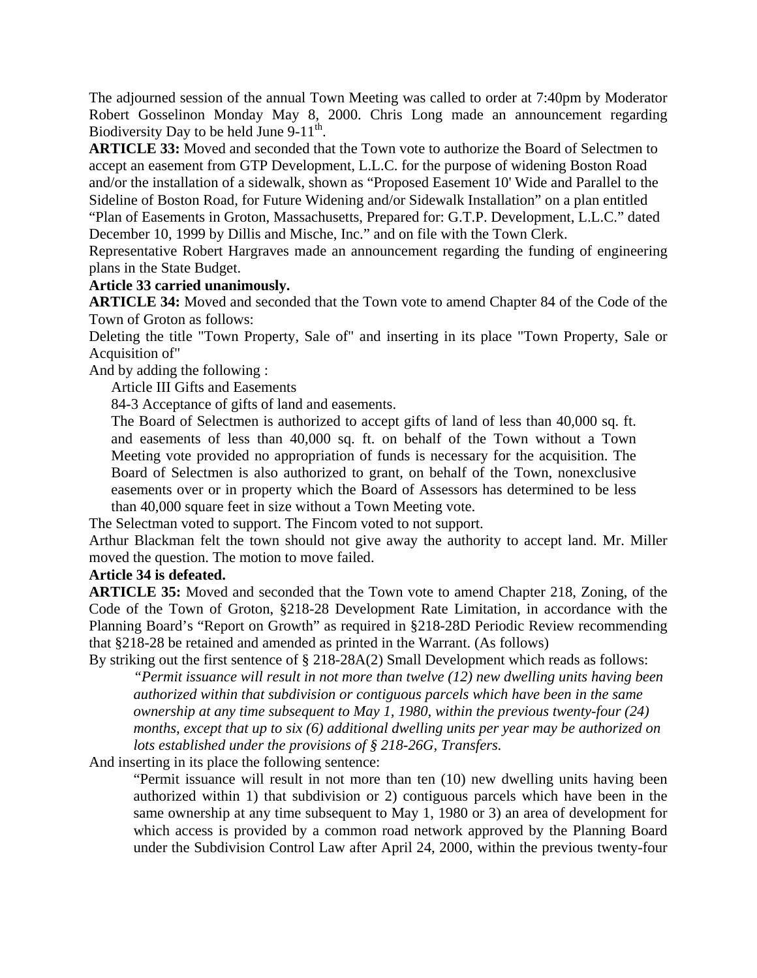The adjourned session of the annual Town Meeting was called to order at 7:40pm by Moderator Robert Gosselinon Monday May 8, 2000. Chris Long made an announcement regarding Biodiversity Day to be held June  $9-11^{th}$ .

**ARTICLE 33:** Moved and seconded that the Town vote to authorize the Board of Selectmen to accept an easement from GTP Development, L.L.C. for the purpose of widening Boston Road and/or the installation of a sidewalk, shown as "Proposed Easement 10' Wide and Parallel to the Sideline of Boston Road, for Future Widening and/or Sidewalk Installation" on a plan entitled "Plan of Easements in Groton, Massachusetts, Prepared for: G.T.P. Development, L.L.C." dated December 10, 1999 by Dillis and Mische, Inc." and on file with the Town Clerk.

Representative Robert Hargraves made an announcement regarding the funding of engineering plans in the State Budget.

#### **Article 33 carried unanimously.**

**ARTICLE 34:** Moved and seconded that the Town vote to amend Chapter 84 of the Code of the Town of Groton as follows:

Deleting the title "Town Property, Sale of" and inserting in its place "Town Property, Sale or Acquisition of"

And by adding the following :

Article III Gifts and Easements

84-3 Acceptance of gifts of land and easements.

The Board of Selectmen is authorized to accept gifts of land of less than 40,000 sq. ft. and easements of less than 40,000 sq. ft. on behalf of the Town without a Town Meeting vote provided no appropriation of funds is necessary for the acquisition. The Board of Selectmen is also authorized to grant, on behalf of the Town, nonexclusive easements over or in property which the Board of Assessors has determined to be less than 40,000 square feet in size without a Town Meeting vote.

The Selectman voted to support. The Fincom voted to not support.

Arthur Blackman felt the town should not give away the authority to accept land. Mr. Miller moved the question. The motion to move failed.

#### **Article 34 is defeated.**

**ARTICLE 35:** Moved and seconded that the Town vote to amend Chapter 218, Zoning, of the Code of the Town of Groton, §218-28 Development Rate Limitation, in accordance with the Planning Board's "Report on Growth" as required in §218-28D Periodic Review recommending that §218-28 be retained and amended as printed in the Warrant. (As follows)

By striking out the first sentence of § 218-28A(2) Small Development which reads as follows: *"Permit issuance will result in not more than twelve (12) new dwelling units having been authorized within that subdivision or contiguous parcels which have been in the same ownership at any time subsequent to May 1, 1980, within the previous twenty-four (24) months, except that up to six (6) additional dwelling units per year may be authorized on lots established under the provisions of § 218-26G, Transfers.* 

And inserting in its place the following sentence:

"Permit issuance will result in not more than ten (10) new dwelling units having been authorized within 1) that subdivision or 2) contiguous parcels which have been in the same ownership at any time subsequent to May 1, 1980 or 3) an area of development for which access is provided by a common road network approved by the Planning Board under the Subdivision Control Law after April 24, 2000, within the previous twenty-four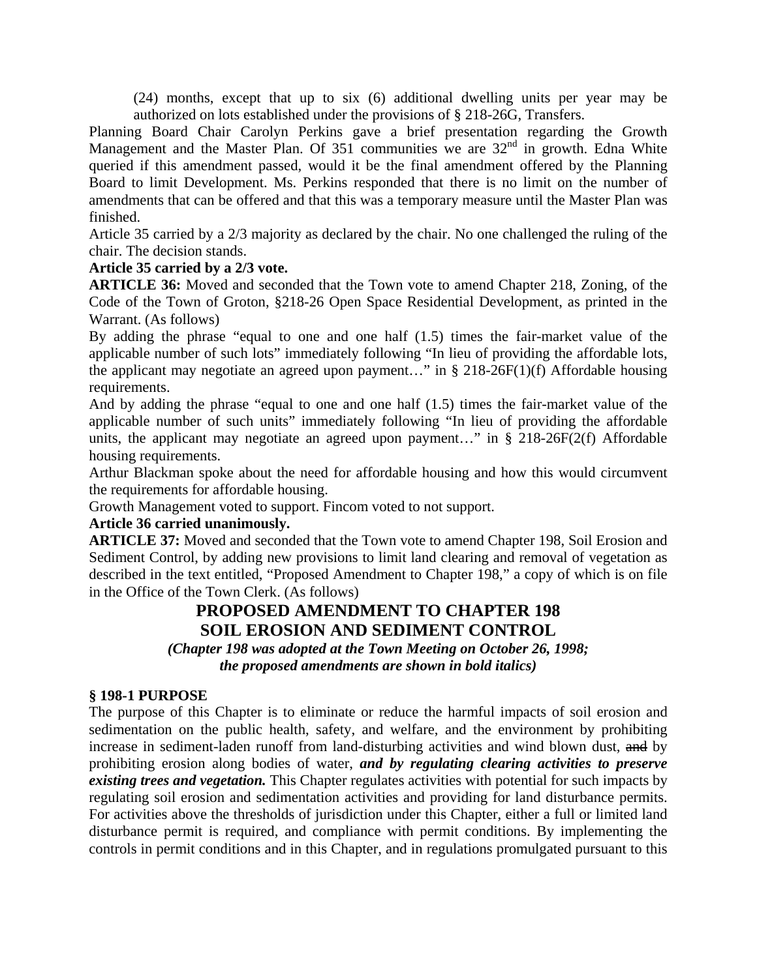(24) months, except that up to six (6) additional dwelling units per year may be authorized on lots established under the provisions of § 218-26G, Transfers.

Planning Board Chair Carolyn Perkins gave a brief presentation regarding the Growth Management and the Master Plan. Of 351 communities we are 32<sup>nd</sup> in growth. Edna White queried if this amendment passed, would it be the final amendment offered by the Planning Board to limit Development. Ms. Perkins responded that there is no limit on the number of amendments that can be offered and that this was a temporary measure until the Master Plan was finished.

Article 35 carried by a 2/3 majority as declared by the chair. No one challenged the ruling of the chair. The decision stands.

#### **Article 35 carried by a 2/3 vote.**

**ARTICLE 36:** Moved and seconded that the Town vote to amend Chapter 218, Zoning, of the Code of the Town of Groton, §218-26 Open Space Residential Development, as printed in the Warrant. (As follows)

By adding the phrase "equal to one and one half (1.5) times the fair-market value of the applicable number of such lots" immediately following "In lieu of providing the affordable lots, the applicant may negotiate an agreed upon payment..." in  $\S 218-26F(1)(f)$  Affordable housing requirements.

And by adding the phrase "equal to one and one half (1.5) times the fair-market value of the applicable number of such units" immediately following "In lieu of providing the affordable units, the applicant may negotiate an agreed upon payment..." in  $\S$  218-26F(2(f) Affordable housing requirements.

Arthur Blackman spoke about the need for affordable housing and how this would circumvent the requirements for affordable housing.

Growth Management voted to support. Fincom voted to not support.

## **Article 36 carried unanimously.**

**ARTICLE 37:** Moved and seconded that the Town vote to amend Chapter 198, Soil Erosion and Sediment Control, by adding new provisions to limit land clearing and removal of vegetation as described in the text entitled, "Proposed Amendment to Chapter 198," a copy of which is on file in the Office of the Town Clerk. (As follows)

# **PROPOSED AMENDMENT TO CHAPTER 198 SOIL EROSION AND SEDIMENT CONTROL**

*(Chapter 198 was adopted at the Town Meeting on October 26, 1998; the proposed amendments are shown in bold italics)*

#### **§ 198-1 PURPOSE**

The purpose of this Chapter is to eliminate or reduce the harmful impacts of soil erosion and sedimentation on the public health, safety, and welfare, and the environment by prohibiting increase in sediment-laden runoff from land-disturbing activities and wind blown dust, and by prohibiting erosion along bodies of water, *and by regulating clearing activities to preserve existing trees and vegetation.* This Chapter regulates activities with potential for such impacts by regulating soil erosion and sedimentation activities and providing for land disturbance permits. For activities above the thresholds of jurisdiction under this Chapter, either a full or limited land disturbance permit is required, and compliance with permit conditions. By implementing the controls in permit conditions and in this Chapter, and in regulations promulgated pursuant to this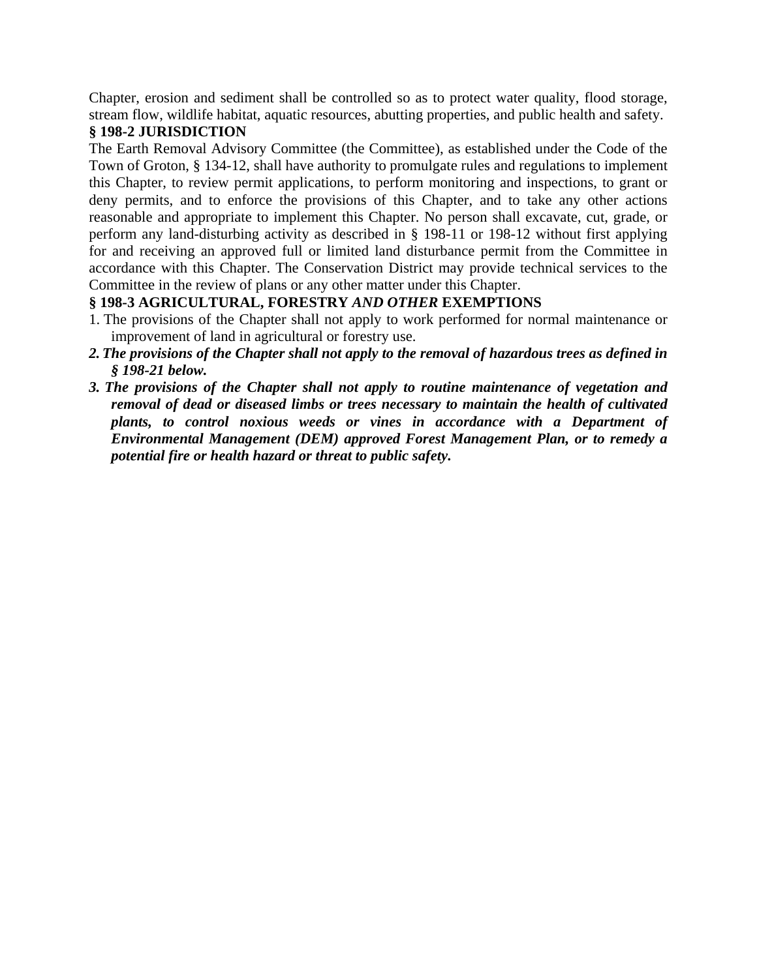Chapter, erosion and sediment shall be controlled so as to protect water quality, flood storage, stream flow, wildlife habitat, aquatic resources, abutting properties, and public health and safety.

#### **§ 198-2 JURISDICTION**

The Earth Removal Advisory Committee (the Committee), as established under the Code of the Town of Groton, § 134-12, shall have authority to promulgate rules and regulations to implement this Chapter, to review permit applications, to perform monitoring and inspections, to grant or deny permits, and to enforce the provisions of this Chapter, and to take any other actions reasonable and appropriate to implement this Chapter. No person shall excavate, cut, grade, or perform any land-disturbing activity as described in § 198-11 or 198-12 without first applying for and receiving an approved full or limited land disturbance permit from the Committee in accordance with this Chapter. The Conservation District may provide technical services to the Committee in the review of plans or any other matter under this Chapter.

## **§ 198-3 AGRICULTURAL, FORESTRY** *AND OTHER* **EXEMPTIONS**

- 1. The provisions of the Chapter shall not apply to work performed for normal maintenance or improvement of land in agricultural or forestry use.
- *2.The provisions of the Chapter shall not apply to the removal of hazardous trees as defined in § 198-21 below.*
- *3. The provisions of the Chapter shall not apply to routine maintenance of vegetation and removal of dead or diseased limbs or trees necessary to maintain the health of cultivated plants, to control noxious weeds or vines in accordance with a Department of Environmental Management (DEM) approved Forest Management Plan, or to remedy a potential fire or health hazard or threat to public safety.*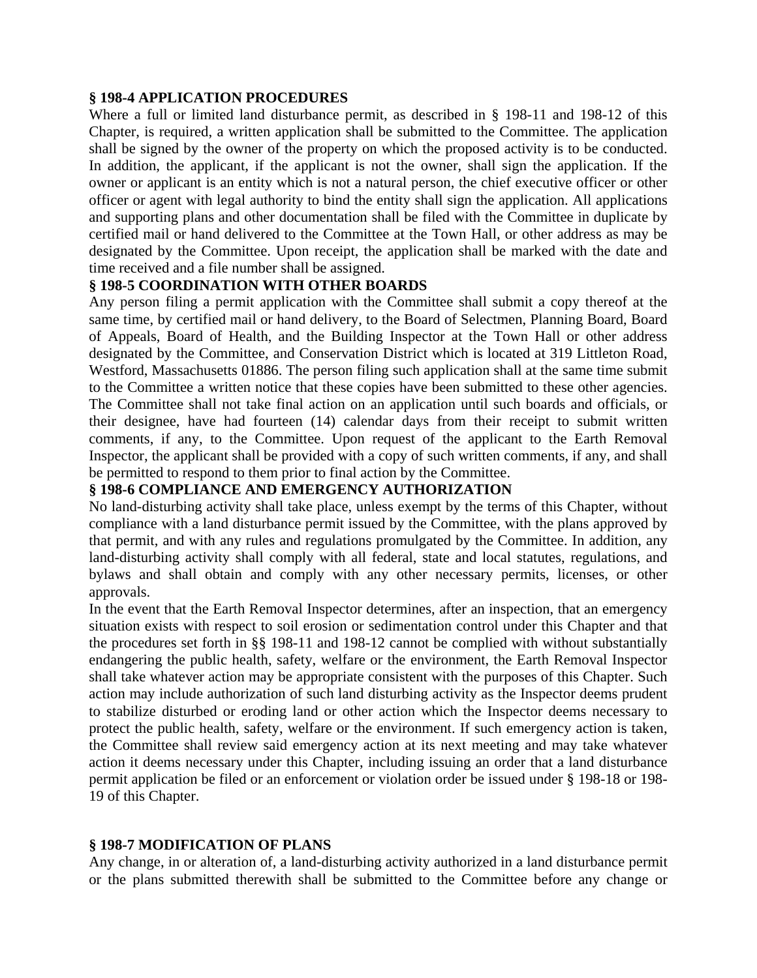#### **§ 198-4 APPLICATION PROCEDURES**

Where a full or limited land disturbance permit, as described in § 198-11 and 198-12 of this Chapter, is required, a written application shall be submitted to the Committee. The application shall be signed by the owner of the property on which the proposed activity is to be conducted. In addition, the applicant, if the applicant is not the owner, shall sign the application. If the owner or applicant is an entity which is not a natural person, the chief executive officer or other officer or agent with legal authority to bind the entity shall sign the application. All applications and supporting plans and other documentation shall be filed with the Committee in duplicate by certified mail or hand delivered to the Committee at the Town Hall, or other address as may be designated by the Committee. Upon receipt, the application shall be marked with the date and time received and a file number shall be assigned.

## **§ 198-5 COORDINATION WITH OTHER BOARDS**

Any person filing a permit application with the Committee shall submit a copy thereof at the same time, by certified mail or hand delivery, to the Board of Selectmen, Planning Board, Board of Appeals, Board of Health, and the Building Inspector at the Town Hall or other address designated by the Committee, and Conservation District which is located at 319 Littleton Road, Westford, Massachusetts 01886. The person filing such application shall at the same time submit to the Committee a written notice that these copies have been submitted to these other agencies. The Committee shall not take final action on an application until such boards and officials, or their designee, have had fourteen (14) calendar days from their receipt to submit written comments, if any, to the Committee. Upon request of the applicant to the Earth Removal Inspector, the applicant shall be provided with a copy of such written comments, if any, and shall be permitted to respond to them prior to final action by the Committee.

## **§ 198-6 COMPLIANCE AND EMERGENCY AUTHORIZATION**

No land-disturbing activity shall take place, unless exempt by the terms of this Chapter, without compliance with a land disturbance permit issued by the Committee, with the plans approved by that permit, and with any rules and regulations promulgated by the Committee. In addition, any land-disturbing activity shall comply with all federal, state and local statutes, regulations, and bylaws and shall obtain and comply with any other necessary permits, licenses, or other approvals.

In the event that the Earth Removal Inspector determines, after an inspection, that an emergency situation exists with respect to soil erosion or sedimentation control under this Chapter and that the procedures set forth in §§ 198-11 and 198-12 cannot be complied with without substantially endangering the public health, safety, welfare or the environment, the Earth Removal Inspector shall take whatever action may be appropriate consistent with the purposes of this Chapter. Such action may include authorization of such land disturbing activity as the Inspector deems prudent to stabilize disturbed or eroding land or other action which the Inspector deems necessary to protect the public health, safety, welfare or the environment. If such emergency action is taken, the Committee shall review said emergency action at its next meeting and may take whatever action it deems necessary under this Chapter, including issuing an order that a land disturbance permit application be filed or an enforcement or violation order be issued under § 198-18 or 198- 19 of this Chapter.

#### **§ 198-7 MODIFICATION OF PLANS**

Any change, in or alteration of, a land-disturbing activity authorized in a land disturbance permit or the plans submitted therewith shall be submitted to the Committee before any change or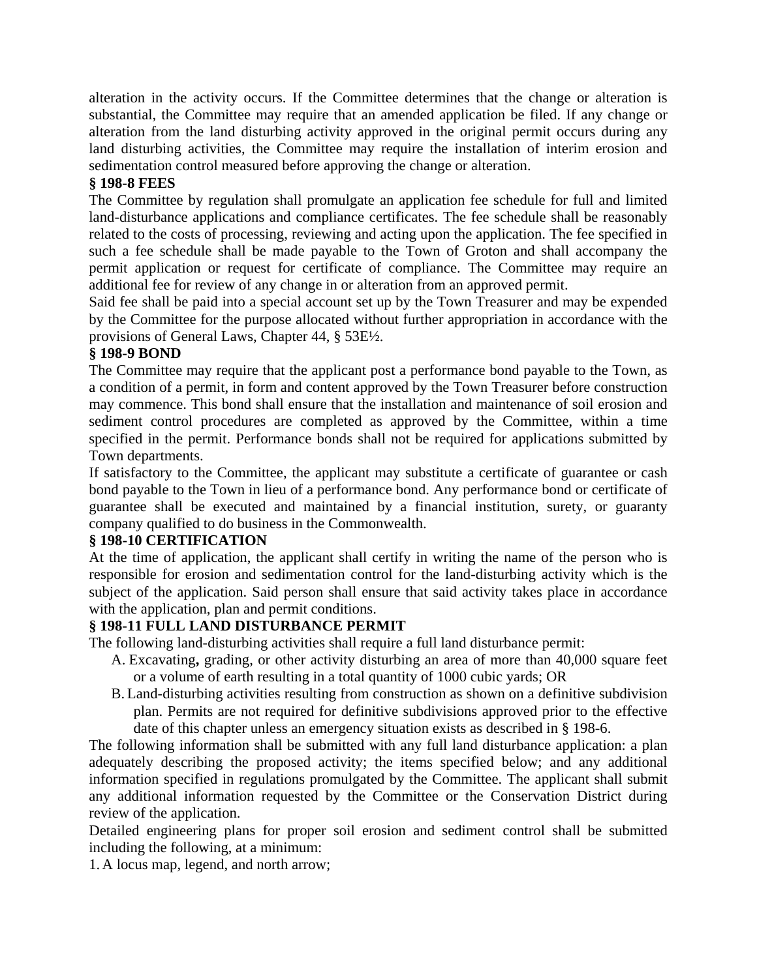alteration in the activity occurs. If the Committee determines that the change or alteration is substantial, the Committee may require that an amended application be filed. If any change or alteration from the land disturbing activity approved in the original permit occurs during any land disturbing activities, the Committee may require the installation of interim erosion and sedimentation control measured before approving the change or alteration.

## **§ 198-8 FEES**

The Committee by regulation shall promulgate an application fee schedule for full and limited land-disturbance applications and compliance certificates. The fee schedule shall be reasonably related to the costs of processing, reviewing and acting upon the application. The fee specified in such a fee schedule shall be made payable to the Town of Groton and shall accompany the permit application or request for certificate of compliance. The Committee may require an additional fee for review of any change in or alteration from an approved permit.

Said fee shall be paid into a special account set up by the Town Treasurer and may be expended by the Committee for the purpose allocated without further appropriation in accordance with the provisions of General Laws, Chapter 44, § 53E½.

## **§ 198-9 BOND**

The Committee may require that the applicant post a performance bond payable to the Town, as a condition of a permit, in form and content approved by the Town Treasurer before construction may commence. This bond shall ensure that the installation and maintenance of soil erosion and sediment control procedures are completed as approved by the Committee, within a time specified in the permit. Performance bonds shall not be required for applications submitted by Town departments.

If satisfactory to the Committee, the applicant may substitute a certificate of guarantee or cash bond payable to the Town in lieu of a performance bond. Any performance bond or certificate of guarantee shall be executed and maintained by a financial institution, surety, or guaranty company qualified to do business in the Commonwealth.

## **§ 198-10 CERTIFICATION**

At the time of application, the applicant shall certify in writing the name of the person who is responsible for erosion and sedimentation control for the land-disturbing activity which is the subject of the application. Said person shall ensure that said activity takes place in accordance with the application, plan and permit conditions.

## **§ 198-11 FULL LAND DISTURBANCE PERMIT**

The following land-disturbing activities shall require a full land disturbance permit:

- A. Excavating**,** grading, or other activity disturbing an area of more than 40,000 square feet or a volume of earth resulting in a total quantity of 1000 cubic yards; OR
- B. Land-disturbing activities resulting from construction as shown on a definitive subdivision plan. Permits are not required for definitive subdivisions approved prior to the effective date of this chapter unless an emergency situation exists as described in § 198-6.

The following information shall be submitted with any full land disturbance application: a plan adequately describing the proposed activity; the items specified below; and any additional information specified in regulations promulgated by the Committee. The applicant shall submit any additional information requested by the Committee or the Conservation District during review of the application.

Detailed engineering plans for proper soil erosion and sediment control shall be submitted including the following, at a minimum:

1. A locus map, legend, and north arrow;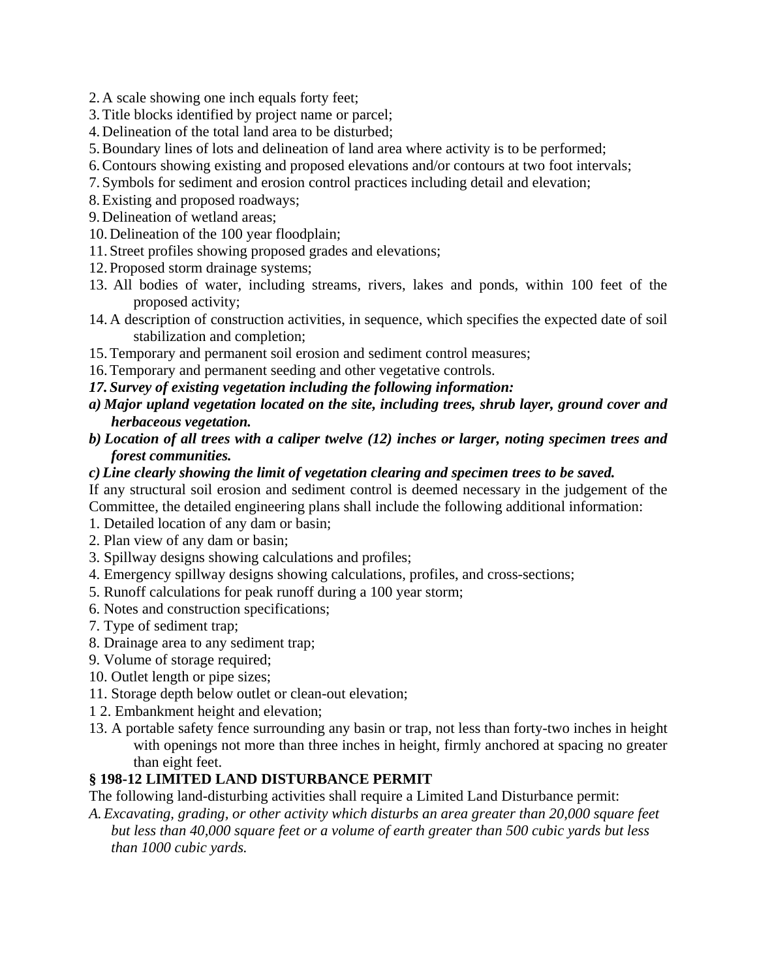- 2. A scale showing one inch equals forty feet;
- 3.Title blocks identified by project name or parcel;
- 4. Delineation of the total land area to be disturbed;
- 5.Boundary lines of lots and delineation of land area where activity is to be performed;
- 6.Contours showing existing and proposed elevations and/or contours at two foot intervals;
- 7. Symbols for sediment and erosion control practices including detail and elevation;
- 8.Existing and proposed roadways;
- 9. Delineation of wetland areas;
- 10. Delineation of the 100 year floodplain;
- 11. Street profiles showing proposed grades and elevations;
- 12. Proposed storm drainage systems;
- 13. All bodies of water, including streams, rivers, lakes and ponds, within 100 feet of the proposed activity;
- 14. A description of construction activities, in sequence, which specifies the expected date of soil stabilization and completion;
- 15.Temporary and permanent soil erosion and sediment control measures;
- 16.Temporary and permanent seeding and other vegetative controls.
- *17. Survey of existing vegetation including the following information:*
- *a) Major upland vegetation located on the site, including trees, shrub layer, ground cover and herbaceous vegetation.*
- *b) Location of all trees with a caliper twelve (12) inches or larger, noting specimen trees and forest communities.*

#### *c)Line clearly showing the limit of vegetation clearing and specimen trees to be saved.*

If any structural soil erosion and sediment control is deemed necessary in the judgement of the Committee, the detailed engineering plans shall include the following additional information:

- 1. Detailed location of any dam or basin;
- 2. Plan view of any dam or basin;
- 3. Spillway designs showing calculations and profiles;
- 4. Emergency spillway designs showing calculations, profiles, and cross-sections;
- 5. Runoff calculations for peak runoff during a 100 year storm;
- 6. Notes and construction specifications;
- 7. Type of sediment trap;
- 8. Drainage area to any sediment trap;
- 9. Volume of storage required;
- 10. Outlet length or pipe sizes;
- 11. Storage depth below outlet or clean-out elevation;
- 1 2. Embankment height and elevation;
- 13. A portable safety fence surrounding any basin or trap, not less than forty-two inches in height with openings not more than three inches in height, firmly anchored at spacing no greater than eight feet.

## **§ 198-12 LIMITED LAND DISTURBANCE PERMIT**

The following land-disturbing activities shall require a Limited Land Disturbance permit:

*A.Excavating, grading, or other activity which disturbs an area greater than 20,000 square feet but less than 40,000 square feet or a volume of earth greater than 500 cubic yards but less than 1000 cubic yards.*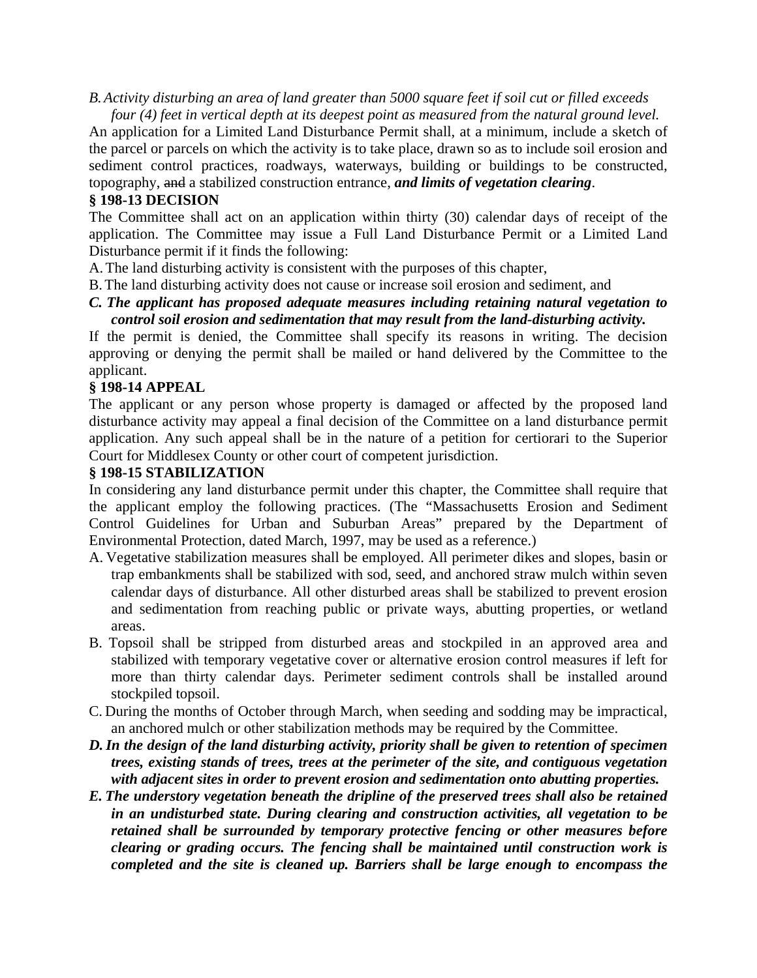*B.Activity disturbing an area of land greater than 5000 square feet if soil cut or filled exceeds four (4) feet in vertical depth at its deepest point as measured from the natural ground level.* 

An application for a Limited Land Disturbance Permit shall, at a minimum, include a sketch of the parcel or parcels on which the activity is to take place, drawn so as to include soil erosion and sediment control practices, roadways, waterways, building or buildings to be constructed, topography, and a stabilized construction entrance, *and limits of vegetation clearing*.

#### **§ 198-13 DECISION**

The Committee shall act on an application within thirty (30) calendar days of receipt of the application. The Committee may issue a Full Land Disturbance Permit or a Limited Land Disturbance permit if it finds the following:

A.The land disturbing activity is consistent with the purposes of this chapter,

B.The land disturbing activity does not cause or increase soil erosion and sediment, and

*C. The applicant has proposed adequate measures including retaining natural vegetation to control soil erosion and sedimentation that may result from the land-disturbing activity.*

If the permit is denied, the Committee shall specify its reasons in writing. The decision approving or denying the permit shall be mailed or hand delivered by the Committee to the applicant.

#### **§ 198-14 APPEAL**

The applicant or any person whose property is damaged or affected by the proposed land disturbance activity may appeal a final decision of the Committee on a land disturbance permit application. Any such appeal shall be in the nature of a petition for certiorari to the Superior Court for Middlesex County or other court of competent jurisdiction.

#### **§ 198-15 STABILIZATION**

In considering any land disturbance permit under this chapter, the Committee shall require that the applicant employ the following practices. (The "Massachusetts Erosion and Sediment Control Guidelines for Urban and Suburban Areas" prepared by the Department of Environmental Protection, dated March, 1997, may be used as a reference.)

- A. Vegetative stabilization measures shall be employed. All perimeter dikes and slopes, basin or trap embankments shall be stabilized with sod, seed, and anchored straw mulch within seven calendar days of disturbance. All other disturbed areas shall be stabilized to prevent erosion and sedimentation from reaching public or private ways, abutting properties, or wetland areas.
- B. Topsoil shall be stripped from disturbed areas and stockpiled in an approved area and stabilized with temporary vegetative cover or alternative erosion control measures if left for more than thirty calendar days. Perimeter sediment controls shall be installed around stockpiled topsoil.
- C. During the months of October through March, when seeding and sodding may be impractical, an anchored mulch or other stabilization methods may be required by the Committee.
- *D.In the design of the land disturbing activity, priority shall be given to retention of specimen trees, existing stands of trees, trees at the perimeter of the site, and contiguous vegetation with adjacent sites in order to prevent erosion and sedimentation onto abutting properties.*
- *E. The understory vegetation beneath the dripline of the preserved trees shall also be retained in an undisturbed state. During clearing and construction activities, all vegetation to be retained shall be surrounded by temporary protective fencing or other measures before clearing or grading occurs. The fencing shall be maintained until construction work is completed and the site is cleaned up. Barriers shall be large enough to encompass the*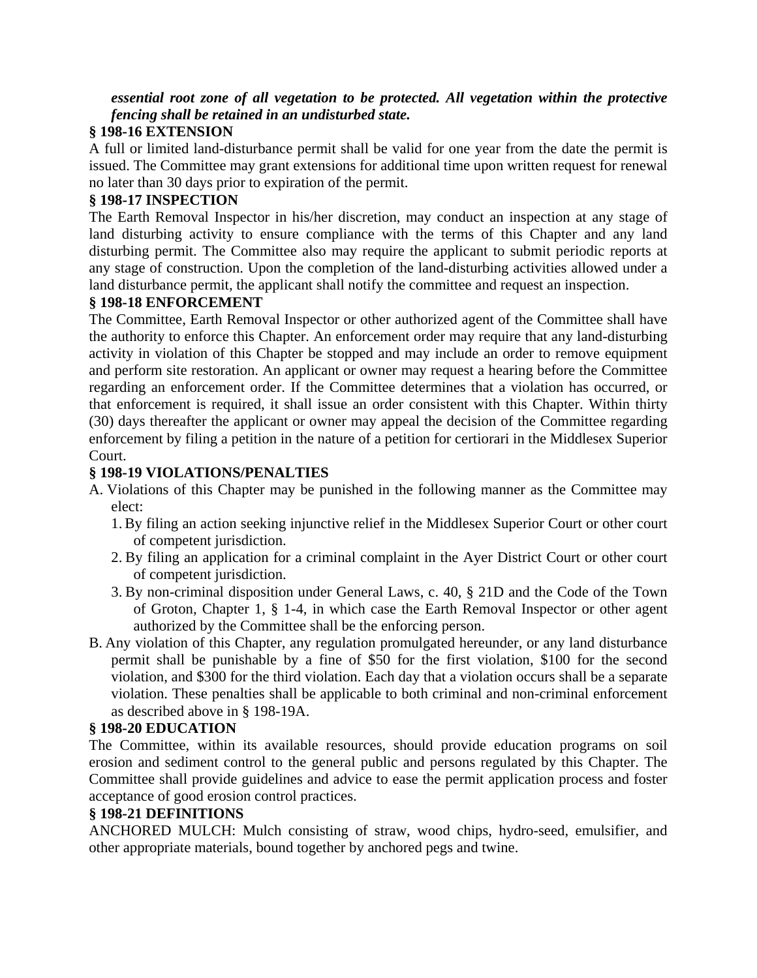*essential root zone of all vegetation to be protected. All vegetation within the protective fencing shall be retained in an undisturbed state.*

## **§ 198-16 EXTENSION**

A full or limited land-disturbance permit shall be valid for one year from the date the permit is issued. The Committee may grant extensions for additional time upon written request for renewal no later than 30 days prior to expiration of the permit.

## **§ 198-17 INSPECTION**

The Earth Removal Inspector in his/her discretion, may conduct an inspection at any stage of land disturbing activity to ensure compliance with the terms of this Chapter and any land disturbing permit. The Committee also may require the applicant to submit periodic reports at any stage of construction. Upon the completion of the land-disturbing activities allowed under a land disturbance permit, the applicant shall notify the committee and request an inspection.

## **§ 198-18 ENFORCEMENT**

The Committee, Earth Removal Inspector or other authorized agent of the Committee shall have the authority to enforce this Chapter. An enforcement order may require that any land-disturbing activity in violation of this Chapter be stopped and may include an order to remove equipment and perform site restoration. An applicant or owner may request a hearing before the Committee regarding an enforcement order. If the Committee determines that a violation has occurred, or that enforcement is required, it shall issue an order consistent with this Chapter. Within thirty (30) days thereafter the applicant or owner may appeal the decision of the Committee regarding enforcement by filing a petition in the nature of a petition for certiorari in the Middlesex Superior Court.

## **§ 198-19 VIOLATIONS/PENALTIES**

- A. Violations of this Chapter may be punished in the following manner as the Committee may elect:
	- 1. By filing an action seeking injunctive relief in the Middlesex Superior Court or other court of competent jurisdiction.
	- 2. By filing an application for a criminal complaint in the Ayer District Court or other court of competent jurisdiction.
	- 3. By non-criminal disposition under General Laws, c. 40, § 21D and the Code of the Town of Groton, Chapter 1, § 1-4, in which case the Earth Removal Inspector or other agent authorized by the Committee shall be the enforcing person.
- B. Any violation of this Chapter, any regulation promulgated hereunder, or any land disturbance permit shall be punishable by a fine of \$50 for the first violation, \$100 for the second violation, and \$300 for the third violation. Each day that a violation occurs shall be a separate violation. These penalties shall be applicable to both criminal and non-criminal enforcement as described above in § 198-19A.

## **§ 198-20 EDUCATION**

The Committee, within its available resources, should provide education programs on soil erosion and sediment control to the general public and persons regulated by this Chapter. The Committee shall provide guidelines and advice to ease the permit application process and foster acceptance of good erosion control practices.

#### **§ 198-21 DEFINITIONS**

ANCHORED MULCH: Mulch consisting of straw, wood chips, hydro-seed, emulsifier, and other appropriate materials, bound together by anchored pegs and twine.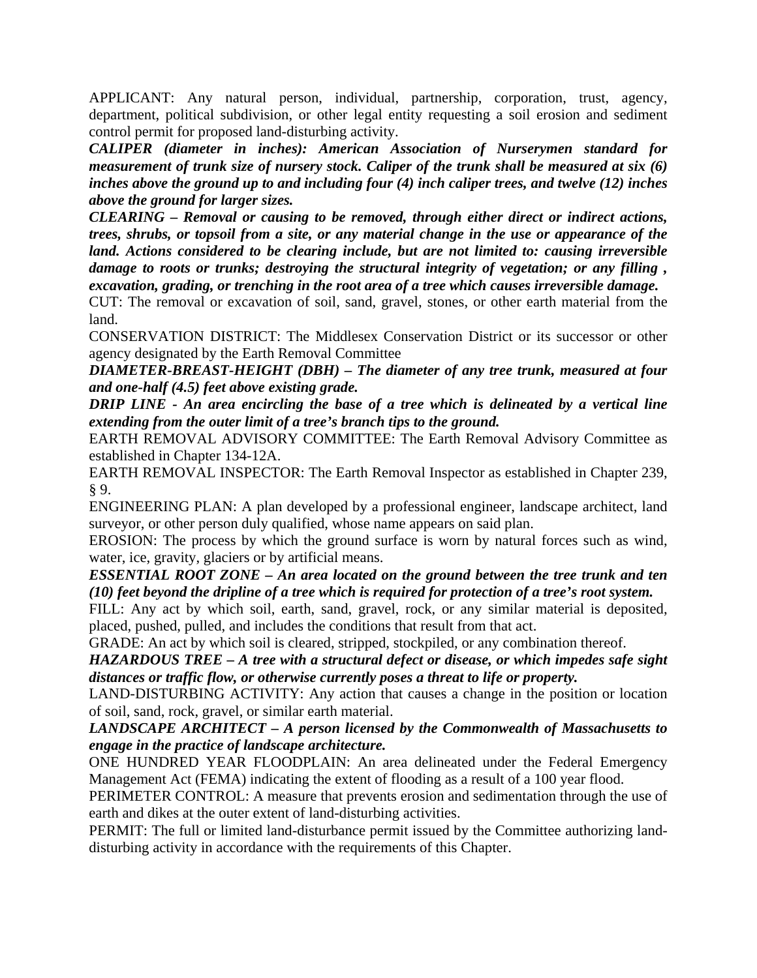APPLICANT: Any natural person, individual, partnership, corporation, trust, agency, department, political subdivision, or other legal entity requesting a soil erosion and sediment control permit for proposed land-disturbing activity.

*CALIPER (diameter in inches): American Association of Nurserymen standard for measurement of trunk size of nursery stock. Caliper of the trunk shall be measured at six (6) inches above the ground up to and including four (4) inch caliper trees, and twelve (12) inches above the ground for larger sizes.*

*CLEARING – Removal or causing to be removed, through either direct or indirect actions, trees, shrubs, or topsoil from a site, or any material change in the use or appearance of the land. Actions considered to be clearing include, but are not limited to: causing irreversible damage to roots or trunks; destroying the structural integrity of vegetation; or any filling , excavation, grading, or trenching in the root area of a tree which causes irreversible damage.*

CUT: The removal or excavation of soil, sand, gravel, stones, or other earth material from the land.

CONSERVATION DISTRICT: The Middlesex Conservation District or its successor or other agency designated by the Earth Removal Committee

*DIAMETER-BREAST-HEIGHT (DBH) – The diameter of any tree trunk, measured at four and one-half (4.5) feet above existing grade.*

*DRIP LINE - An area encircling the base of a tree which is delineated by a vertical line extending from the outer limit of a tree's branch tips to the ground.*

EARTH REMOVAL ADVISORY COMMITTEE: The Earth Removal Advisory Committee as established in Chapter 134-12A.

EARTH REMOVAL INSPECTOR: The Earth Removal Inspector as established in Chapter 239, § 9.

ENGINEERING PLAN: A plan developed by a professional engineer, landscape architect, land surveyor, or other person duly qualified, whose name appears on said plan.

EROSION: The process by which the ground surface is worn by natural forces such as wind, water, ice, gravity, glaciers or by artificial means.

*ESSENTIAL ROOT ZONE – An area located on the ground between the tree trunk and ten (10) feet beyond the dripline of a tree which is required for protection of a tree's root system.*

FILL: Any act by which soil, earth, sand, gravel, rock, or any similar material is deposited, placed, pushed, pulled, and includes the conditions that result from that act.

GRADE: An act by which soil is cleared, stripped, stockpiled, or any combination thereof.

*HAZARDOUS TREE – A tree with a structural defect or disease, or which impedes safe sight distances or traffic flow, or otherwise currently poses a threat to life or property.*

LAND-DISTURBING ACTIVITY: Any action that causes a change in the position or location of soil, sand, rock, gravel, or similar earth material.

*LANDSCAPE ARCHITECT – A person licensed by the Commonwealth of Massachusetts to engage in the practice of landscape architecture.*

ONE HUNDRED YEAR FLOODPLAIN: An area delineated under the Federal Emergency Management Act (FEMA) indicating the extent of flooding as a result of a 100 year flood.

PERIMETER CONTROL: A measure that prevents erosion and sedimentation through the use of earth and dikes at the outer extent of land-disturbing activities.

PERMIT: The full or limited land-disturbance permit issued by the Committee authorizing landdisturbing activity in accordance with the requirements of this Chapter.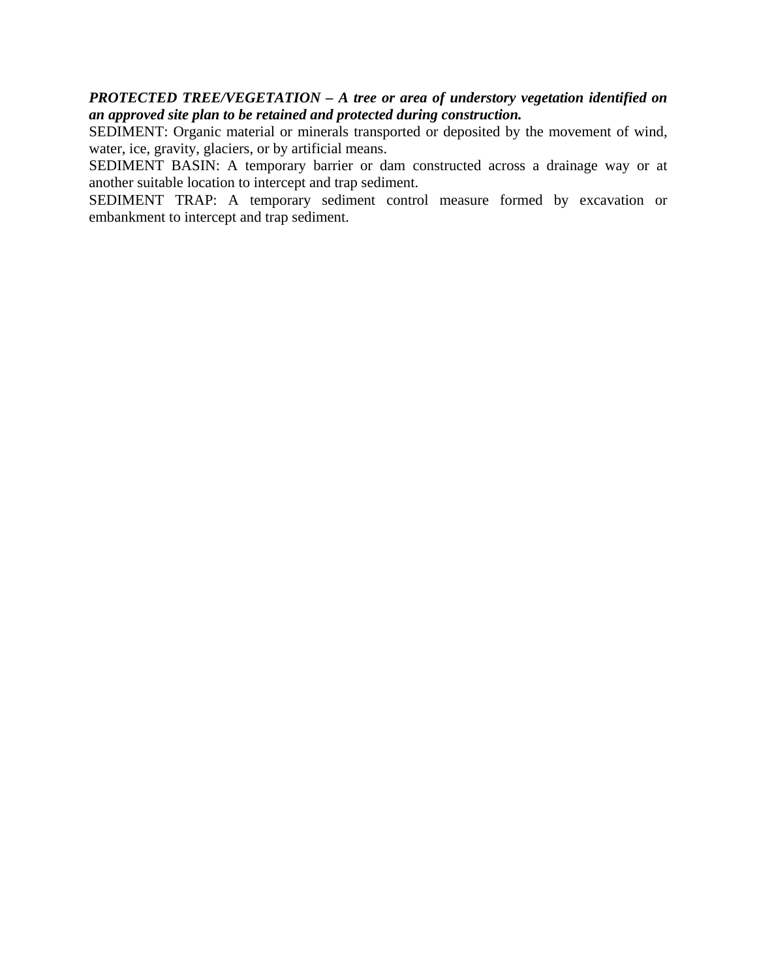## *PROTECTED TREE/VEGETATION – A tree or area of understory vegetation identified on an approved site plan to be retained and protected during construction.*

SEDIMENT: Organic material or minerals transported or deposited by the movement of wind, water, ice, gravity, glaciers, or by artificial means.

SEDIMENT BASIN: A temporary barrier or dam constructed across a drainage way or at another suitable location to intercept and trap sediment.

SEDIMENT TRAP: A temporary sediment control measure formed by excavation or embankment to intercept and trap sediment.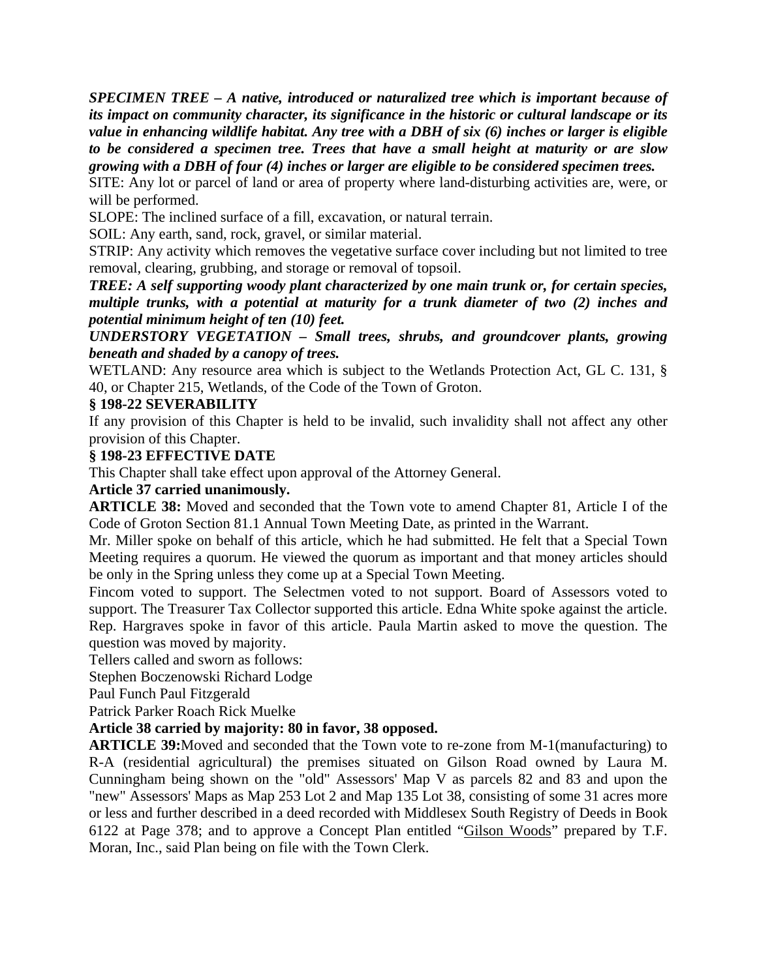*SPECIMEN TREE – A native, introduced or naturalized tree which is important because of its impact on community character, its significance in the historic or cultural landscape or its value in enhancing wildlife habitat. Any tree with a DBH of six (6) inches or larger is eligible to be considered a specimen tree. Trees that have a small height at maturity or are slow growing with a DBH of four (4) inches or larger are eligible to be considered specimen trees.*

SITE: Any lot or parcel of land or area of property where land-disturbing activities are, were, or will be performed.

SLOPE: The inclined surface of a fill, excavation, or natural terrain.

SOIL: Any earth, sand, rock, gravel, or similar material.

STRIP: Any activity which removes the vegetative surface cover including but not limited to tree removal, clearing, grubbing, and storage or removal of topsoil.

*TREE: A self supporting woody plant characterized by one main trunk or, for certain species, multiple trunks, with a potential at maturity for a trunk diameter of two (2) inches and potential minimum height of ten (10) feet.*

*UNDERSTORY VEGETATION – Small trees, shrubs, and groundcover plants, growing beneath and shaded by a canopy of trees.*

WETLAND: Any resource area which is subject to the Wetlands Protection Act, GL C. 131, § 40, or Chapter 215, Wetlands, of the Code of the Town of Groton.

#### **§ 198-22 SEVERABILITY**

If any provision of this Chapter is held to be invalid, such invalidity shall not affect any other provision of this Chapter.

#### **§ 198-23 EFFECTIVE DATE**

This Chapter shall take effect upon approval of the Attorney General.

#### **Article 37 carried unanimously.**

**ARTICLE 38:** Moved and seconded that the Town vote to amend Chapter 81, Article I of the Code of Groton Section 81.1 Annual Town Meeting Date, as printed in the Warrant.

Mr. Miller spoke on behalf of this article, which he had submitted. He felt that a Special Town Meeting requires a quorum. He viewed the quorum as important and that money articles should be only in the Spring unless they come up at a Special Town Meeting.

Fincom voted to support. The Selectmen voted to not support. Board of Assessors voted to support. The Treasurer Tax Collector supported this article. Edna White spoke against the article. Rep. Hargraves spoke in favor of this article. Paula Martin asked to move the question. The question was moved by majority.

Tellers called and sworn as follows:

Stephen Boczenowski Richard Lodge

Paul Funch Paul Fitzgerald

Patrick Parker Roach Rick Muelke

## **Article 38 carried by majority: 80 in favor, 38 opposed.**

**ARTICLE 39:**Moved and seconded that the Town vote to re-zone from M-1(manufacturing) to R-A (residential agricultural) the premises situated on Gilson Road owned by Laura M. Cunningham being shown on the "old" Assessors' Map V as parcels 82 and 83 and upon the "new" Assessors' Maps as Map 253 Lot 2 and Map 135 Lot 38, consisting of some 31 acres more or less and further described in a deed recorded with Middlesex South Registry of Deeds in Book 6122 at Page 378; and to approve a Concept Plan entitled "Gilson Woods" prepared by T.F. Moran, Inc., said Plan being on file with the Town Clerk.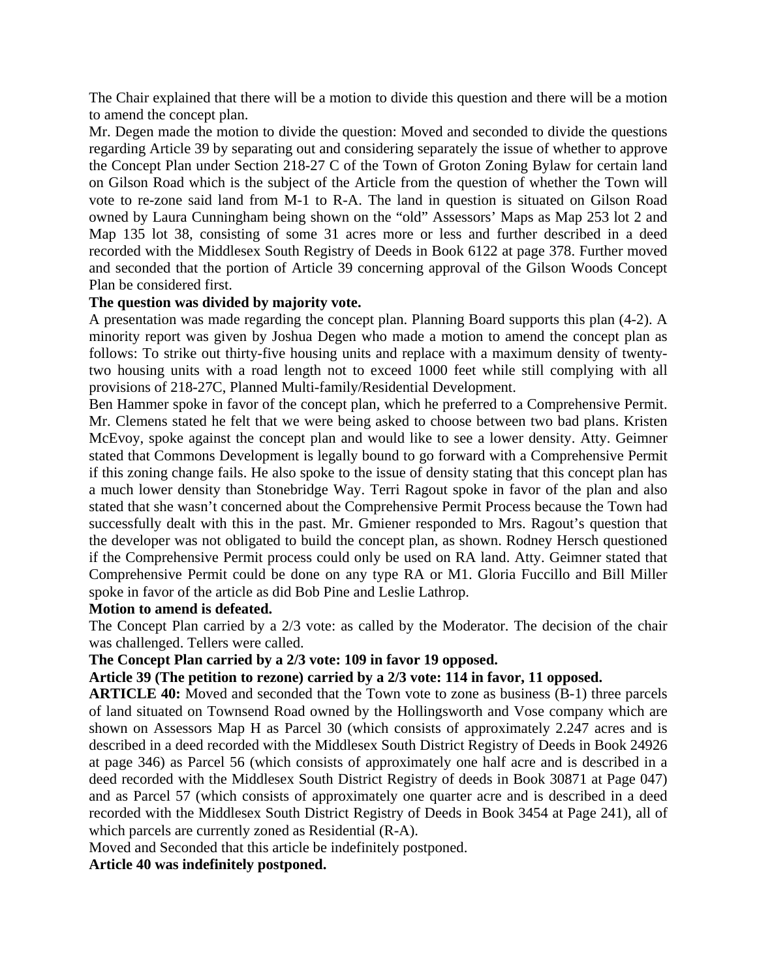The Chair explained that there will be a motion to divide this question and there will be a motion to amend the concept plan.

Mr. Degen made the motion to divide the question: Moved and seconded to divide the questions regarding Article 39 by separating out and considering separately the issue of whether to approve the Concept Plan under Section 218-27 C of the Town of Groton Zoning Bylaw for certain land on Gilson Road which is the subject of the Article from the question of whether the Town will vote to re-zone said land from M-1 to R-A. The land in question is situated on Gilson Road owned by Laura Cunningham being shown on the "old" Assessors' Maps as Map 253 lot 2 and Map 135 lot 38, consisting of some 31 acres more or less and further described in a deed recorded with the Middlesex South Registry of Deeds in Book 6122 at page 378. Further moved and seconded that the portion of Article 39 concerning approval of the Gilson Woods Concept Plan be considered first.

#### **The question was divided by majority vote.**

A presentation was made regarding the concept plan. Planning Board supports this plan (4-2). A minority report was given by Joshua Degen who made a motion to amend the concept plan as follows: To strike out thirty-five housing units and replace with a maximum density of twentytwo housing units with a road length not to exceed 1000 feet while still complying with all provisions of 218-27C, Planned Multi-family/Residential Development.

Ben Hammer spoke in favor of the concept plan, which he preferred to a Comprehensive Permit. Mr. Clemens stated he felt that we were being asked to choose between two bad plans. Kristen McEvoy, spoke against the concept plan and would like to see a lower density. Atty. Geimner stated that Commons Development is legally bound to go forward with a Comprehensive Permit if this zoning change fails. He also spoke to the issue of density stating that this concept plan has a much lower density than Stonebridge Way. Terri Ragout spoke in favor of the plan and also stated that she wasn't concerned about the Comprehensive Permit Process because the Town had successfully dealt with this in the past. Mr. Gmiener responded to Mrs. Ragout's question that the developer was not obligated to build the concept plan, as shown. Rodney Hersch questioned if the Comprehensive Permit process could only be used on RA land. Atty. Geimner stated that Comprehensive Permit could be done on any type RA or M1. Gloria Fuccillo and Bill Miller spoke in favor of the article as did Bob Pine and Leslie Lathrop.

#### **Motion to amend is defeated.**

The Concept Plan carried by a 2/3 vote: as called by the Moderator. The decision of the chair was challenged. Tellers were called.

#### **The Concept Plan carried by a 2/3 vote: 109 in favor 19 opposed.**

#### **Article 39 (The petition to rezone) carried by a 2/3 vote: 114 in favor, 11 opposed.**

**ARTICLE 40:** Moved and seconded that the Town vote to zone as business (B-1) three parcels of land situated on Townsend Road owned by the Hollingsworth and Vose company which are shown on Assessors Map H as Parcel 30 (which consists of approximately 2.247 acres and is described in a deed recorded with the Middlesex South District Registry of Deeds in Book 24926 at page 346) as Parcel 56 (which consists of approximately one half acre and is described in a deed recorded with the Middlesex South District Registry of deeds in Book 30871 at Page 047) and as Parcel 57 (which consists of approximately one quarter acre and is described in a deed recorded with the Middlesex South District Registry of Deeds in Book 3454 at Page 241), all of which parcels are currently zoned as Residential (R-A).

Moved and Seconded that this article be indefinitely postponed.

**Article 40 was indefinitely postponed.**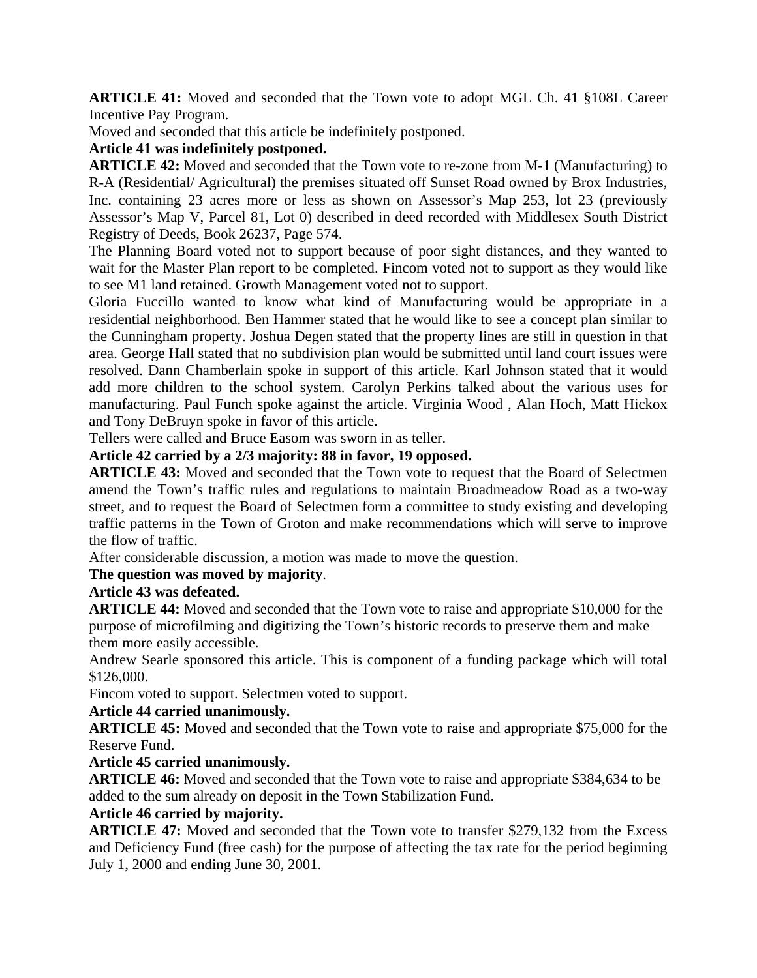**ARTICLE 41:** Moved and seconded that the Town vote to adopt MGL Ch. 41 §108L Career Incentive Pay Program.

Moved and seconded that this article be indefinitely postponed.

## **Article 41 was indefinitely postponed.**

**ARTICLE 42:** Moved and seconded that the Town vote to re-zone from M-1 (Manufacturing) to R-A (Residential/ Agricultural) the premises situated off Sunset Road owned by Brox Industries, Inc. containing 23 acres more or less as shown on Assessor's Map 253, lot 23 (previously Assessor's Map V, Parcel 81, Lot 0) described in deed recorded with Middlesex South District Registry of Deeds, Book 26237, Page 574.

The Planning Board voted not to support because of poor sight distances, and they wanted to wait for the Master Plan report to be completed. Fincom voted not to support as they would like to see M1 land retained. Growth Management voted not to support.

Gloria Fuccillo wanted to know what kind of Manufacturing would be appropriate in a residential neighborhood. Ben Hammer stated that he would like to see a concept plan similar to the Cunningham property. Joshua Degen stated that the property lines are still in question in that area. George Hall stated that no subdivision plan would be submitted until land court issues were resolved. Dann Chamberlain spoke in support of this article. Karl Johnson stated that it would add more children to the school system. Carolyn Perkins talked about the various uses for manufacturing. Paul Funch spoke against the article. Virginia Wood , Alan Hoch, Matt Hickox and Tony DeBruyn spoke in favor of this article.

Tellers were called and Bruce Easom was sworn in as teller.

## **Article 42 carried by a 2/3 majority: 88 in favor, 19 opposed.**

**ARTICLE 43:** Moved and seconded that the Town vote to request that the Board of Selectmen amend the Town's traffic rules and regulations to maintain Broadmeadow Road as a two-way street, and to request the Board of Selectmen form a committee to study existing and developing traffic patterns in the Town of Groton and make recommendations which will serve to improve the flow of traffic.

After considerable discussion, a motion was made to move the question.

## **The question was moved by majority**.

## **Article 43 was defeated.**

**ARTICLE 44:** Moved and seconded that the Town vote to raise and appropriate \$10,000 for the purpose of microfilming and digitizing the Town's historic records to preserve them and make them more easily accessible.

Andrew Searle sponsored this article. This is component of a funding package which will total \$126,000.

Fincom voted to support. Selectmen voted to support.

#### **Article 44 carried unanimously.**

**ARTICLE 45:** Moved and seconded that the Town vote to raise and appropriate \$75,000 for the Reserve Fund.

## **Article 45 carried unanimously.**

**ARTICLE 46:** Moved and seconded that the Town vote to raise and appropriate \$384,634 to be added to the sum already on deposit in the Town Stabilization Fund.

## **Article 46 carried by majority.**

**ARTICLE 47:** Moved and seconded that the Town vote to transfer \$279,132 from the Excess and Deficiency Fund (free cash) for the purpose of affecting the tax rate for the period beginning July 1, 2000 and ending June 30, 2001.